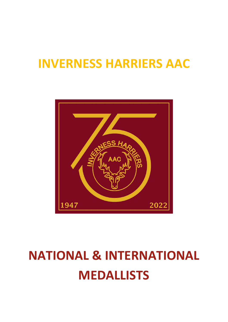## INVERNESS HARRIERS AAC



# NATIONAL & INTERNATIONAL MEDALLISTS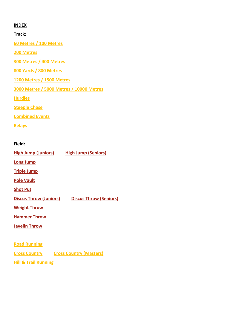## INDEX

Track:

60 Metres / 100 Metres

200 Metres

300 Metres / 400 Metres

800 Yards / 800 Metres

1200 Metres / 1500 Metres

3000 Metres / 5000 Metres / 10000 Metres

**Hurdles** 

Steeple Chase

Combined Events

Relays

## Field:

High Jump (Juniors) High Jump (Seniors) Long Jump Triple Jump Pole Vault Shot Put Discus Throw (Juniors) Discus Throw (Seniors) Weight Throw Hammer Throw Javelin Throw Road Running Cross Country Cross Country (Masters) Hill & Trail Running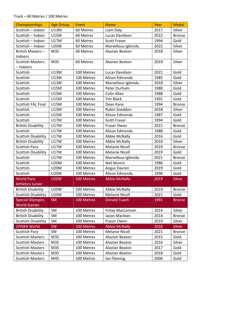#### Track – 60 Metres / 100 Metres

| Championships              | <b>Age Group</b> | Event      | <b>Name</b>           | Year | <b>Medal</b>  |
|----------------------------|------------------|------------|-----------------------|------|---------------|
| Scottish - Indoor          | U13M             | 60 Metres  | Liam Daly             | 2017 | Silver        |
| Scottish - Indoor          | <b>U15M</b>      | 60 Metres  | Lucas Davidson        | 2022 | Bronze        |
| Scottish - Indoor          | U17M             | 60 Metres  | <b>Scott Fraser</b>   | 1994 | Gold          |
| Scottish - Indoor          | <b>U20W</b>      | 60 Metres  | Marvellous Igbinidu   | 2022 | Silver        |
| British Masters-           | M35              | 60 Metres  | Alastair Beaton       | 2018 | Silver        |
| Indoors                    |                  |            |                       |      |               |
| <b>Scottish Masters</b>    | M35              | 60 Metres  | Alastair Beaton       | 2019 | Silver        |
| - Indoors                  |                  |            |                       |      |               |
| Scottish                   | U13M             | 100 Metres | Lucas Davidson        | 2021 | Gold          |
| Scottish                   | U13W             | 100 Metres | Alison Edmonds        | 1985 | Gold          |
| Scottish                   | <b>U13W</b>      | 100 Metres | Marvellous Igbinidu   | 2018 | Silver        |
| Scottish                   | <b>U15M</b>      | 100 Metres | Peter Durham          | 1980 | Gold          |
| Scottish                   | <b>U15M</b>      | 100 Metres | Colin Allan           | 1988 | Gold          |
| Scottish                   | <b>U15M</b>      | 100 Metres | <b>Tim Black</b>      | 1991 | Gold          |
| <b>Scottish YAL Final</b>  | <b>U15M</b>      | 100 Metres | Dean Kane             | 1994 | <b>Bronze</b> |
| Scottish                   | <b>U15M</b>      | 100 Metres | Robin Sneddon         | 2018 | Silver        |
| Scottish                   | <b>U15W</b>      | 100 Metres | Alison Edmonds        | 1987 | Gold          |
| Scottish                   | <b>U17M</b>      | 100 Metres | <b>Scott Fraser</b>   | 1994 | Gold          |
| <b>British Disability</b>  | <b>U17M</b>      | 100 Metres | Fraser Owen           | 2021 | <b>Bronze</b> |
| Scottish                   | <b>U17W</b>      | 100 Metres | Alison Edmonds        | 1988 | Gold          |
| <b>Scottish Disability</b> | <b>U17W</b>      | 100 Metres | <b>Abbie McNally</b>  | 2016 | Gold          |
| <b>British Disability</b>  | <b>U17W</b>      | 100 Metres | <b>Abbie McNally</b>  | 2016 | Silver        |
| <b>Scottish Para</b>       | <b>U17W</b>      | 100 Metres | <b>Melanie Nicoll</b> | 2019 | <b>Bronze</b> |
| <b>Scottish Disability</b> | <b>U17W</b>      | 100 Metres | <b>Melanie Nicoll</b> | 2019 | Gold          |
| Scottish                   | <b>U17W</b>      | 100 Metres | Marvellous Igbinidu   | 2021 | <b>Bronze</b> |
| Scottish                   | <b>U20M</b>      | 100 Metres | Neil Munro            | 1986 | Gold          |
| Scottish                   | <b>U20M</b>      | 100 Metres | Angus Davren          | 2019 | Gold          |
| Scottish                   | <b>U20W</b>      | 100 Metres | Alison Edmonds        | 1990 | Gold          |
| <b>World Para</b>          | <b>U20W</b>      | 100 Metres | <b>Abbie McNally</b>  | 2019 | Silver        |
| <b>Athletics Junior</b>    |                  |            |                       |      |               |
| <b>British Disability</b>  | <b>U20W</b>      | 100 Metres | <b>Abbie McNally</b>  | 2019 | <b>Bronze</b> |
| <b>Scottish Disability</b> | <b>U20W</b>      | 100 Metres | <b>Melanie Nicoll</b> | 2021 | Gold          |
| <b>Special Olympics</b>    | <b>SM</b>        | 100 Metres | <b>Donald Tuach</b>   | 1991 | <b>Bronze</b> |
| <b>World Games</b>         |                  |            |                       |      |               |
| <b>British Disability</b>  | SM               | 100 Metres | Finlay MacLennan      | 2014 | Silver        |
| <b>British Disability</b>  | SM               | 100 Metres | Jason Maclean         | 2014 | <b>Bronze</b> |
| <b>Scottish Disability</b> | SM               | 100 Metres | Fraser Owen           | 2019 | Silver        |
| <b>CPISRA World</b>        | <b>SW</b>        | 100 Metres | <b>Abbie McNally</b>  | 2018 | <b>Silver</b> |
| <b>Scottish Para</b>       | SW               | 100 Metres | <b>Melanie Nicoll</b> | 2021 | <b>Bronze</b> |
| <b>Scottish Masters</b>    | M35              | 100 Metres | Alastair Beaton       | 2015 | Gold          |
| <b>Scottish Masters</b>    | M35              | 100 Metres | Alastair Beaton       | 2016 | Silver        |
| <b>Scottish Masters</b>    | M35              | 100 Metres | Alastair Beaton       | 2017 | Gold          |
| <b>Scottish Masters</b>    | M35              | 100 Metres | Alastair Beaton       | 2018 | Gold          |
| <b>Scottish Masters</b>    | M45              | 100 Metres | lan Fleming           | 2006 | Gold          |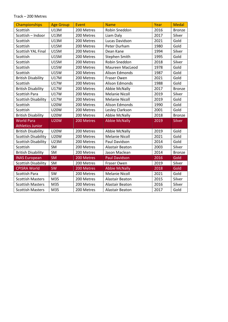#### Track – 200 Metres

| <b>Championships</b>       | <b>Age Group</b> | Event      | <b>Name</b>            | Year | <b>Medal</b>  |
|----------------------------|------------------|------------|------------------------|------|---------------|
| Scottish                   | U13M             | 200 Metres | Robin Sneddon          | 2016 | <b>Bronze</b> |
| Scottish - Indoor          | U13M             | 200 Metres | Liam Daly              | 2017 | Silver        |
| Scottish                   | U13M             | 200 Metres | Lucas Davidson         | 2021 | Gold          |
| Scottish                   | <b>U15M</b>      | 200 Metres | Peter Durham           | 1980 | Gold          |
| <b>Scottish YAL Final</b>  | <b>U15M</b>      | 200 Metres | Dean Kane              | 1994 | Silver        |
| Scottish                   | <b>U15M</b>      | 200 Metres | <b>Stephen Smith</b>   | 1995 | Gold          |
| Scottish                   | <b>U15M</b>      | 200 Metres | Robin Sneddon          | 2018 | Silver        |
| Scottish                   | <b>U15W</b>      | 200 Metres | <b>Maureen MacLeod</b> | 1978 | Gold          |
| Scottish                   | <b>U15W</b>      | 200 Metres | Alison Edmonds         | 1987 | Gold          |
| <b>British Disability</b>  | <b>U17M</b>      | 200 Metres | Fraser Owen            | 2021 | Gold          |
| Scottish                   | <b>U17W</b>      | 200 Metres | <b>Alison Edmonds</b>  | 1988 | Gold          |
| <b>British Disability</b>  | <b>U17W</b>      | 200 Metres | <b>Abbie McNally</b>   | 2017 | <b>Bronze</b> |
| Scottish Para              | <b>U17W</b>      | 200 Metres | <b>Melanie Nicoll</b>  | 2019 | Silver        |
| <b>Scottish Disability</b> | <b>U17W</b>      | 200 Metres | <b>Melanie Nicoll</b>  | 2019 | Gold          |
| Scottish                   | <b>U20W</b>      | 200 Metres | <b>Alison Edmonds</b>  | 1990 | Gold          |
| Scottish                   | <b>U20W</b>      | 200 Metres | Lesley Clarkson        | 2001 | Gold          |
| <b>British Disability</b>  | <b>U20W</b>      | 200 Metres | <b>Abbie McNally</b>   | 2018 | <b>Bronze</b> |
| <b>World Para</b>          | <b>U20W</b>      | 200 Metres | <b>Abbie McNally</b>   | 2019 | <b>Silver</b> |
| <b>Athletics Junior</b>    |                  |            |                        |      |               |
| <b>British Disability</b>  | <b>U20W</b>      | 200 Metres | <b>Abbie McNally</b>   | 2019 | Gold          |
| <b>Scottish Disability</b> | <b>U20W</b>      | 200 Metres | <b>Melanie Nicoll</b>  | 2021 | Gold          |
| <b>Scottish Disability</b> | <b>U23M</b>      | 200 Metres | Paul Davidson          | 2014 | Gold          |
| Scottish                   | <b>SM</b>        | 200 Metres | Alastair Beaton        | 2003 | Silver        |
| <b>British Disability</b>  | SM               | 200 Metres | Jason Maclean          | 2014 | <b>Bronze</b> |
| <b>INAS European</b>       | <b>SM</b>        | 200 Metres | <b>Paul Davidson</b>   | 2016 | Gold          |
| <b>Scottish Disability</b> | SM               | 200 Metres | Fraser Owen            | 2019 | Silver        |
| <b>CPISRA World</b>        | <b>SW</b>        | 200 Metres | <b>Abbie McNally</b>   | 2018 | Gold          |
| <b>Scottish Para</b>       | SW               | 200 Metres | <b>Melanie Nicoll</b>  | 2021 | Gold          |
| <b>Scottish Masters</b>    | M35              | 200 Metres | Alastair Beaton        | 2015 | Silver        |
| <b>Scottish Masters</b>    | M35              | 200 Metres | Alastair Beaton        | 2016 | Silver        |
| <b>Scottish Masters</b>    | M35              | 200 Metres | Alastair Beaton        | 2017 | Gold          |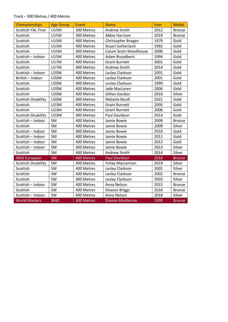#### Track – 300 Metres / 400 Metres

| <b>Championships</b>       | <b>Age Group</b> | Event      | <b>Name</b>              | Year | <b>Medal</b>  |
|----------------------------|------------------|------------|--------------------------|------|---------------|
| Scottish YAL Final         | <b>U15M</b>      | 300 Metres | Andrew Smith             | 2012 | <b>Bronze</b> |
| Scottish                   | <b>U15W</b>      | 300 Metres | Abbie Harrison           | 2019 | <b>Bronze</b> |
| Scottish                   | <b>U15M</b>      | 400 Metres | Christopher Brogan       | 1979 | Gold          |
| Scottish                   | <b>U15M</b>      | 400 Metres | <b>Stuart Sutherland</b> | 1992 | Gold          |
| Scottish                   | <b>U15M</b>      | 400 Metres | Calum Scott-Woodhouse    | 2000 | Gold          |
| Scottish - Indoor          | <b>U15M</b>      | 400 Metres | Adam Broadbent           | 1994 | Gold          |
| Scottish                   | <b>U17M</b>      | 400 Metres | <b>Grant Burnett</b>     | 2001 | Gold          |
| Scottish                   | <b>U17M</b>      | 400 Metres | Andrew Smith             | 2014 | Gold          |
| Scottish - Indoor          | <b>U20W</b>      | 400 Metres | Lesley Clarkson          | 2001 | Gold          |
| British - Indoor           | <b>U20W</b>      | 400 Metres | Lesley Clarkson          | 2001 | Gold          |
| Scottish                   | <b>U20W</b>      | 400 Metres | Lesley Clarkson          | 1999 | Gold          |
| Scottish                   | <b>U20W</b>      | 400 Metres | Jade MacLaren            | 2006 | Gold          |
| Scottish                   | <b>U20W</b>      | 400 Metres | Gillian Gordon           | 2016 | Silver        |
| Scottish Disability        | <b>U20W</b>      | 400 Metres | <b>Melanie Nicoll</b>    | 2021 | Gold          |
| Scottish                   | <b>U23M</b>      | 400 Metres | <b>Grant Burnett</b>     | 2005 | Gold          |
| Scottish                   | <b>U23M</b>      | 400 Metres | <b>Grant Burnett</b>     | 2006 | Gold          |
| <b>Scottish Disability</b> | <b>U23M</b>      | 400 Metres | Paul Davidson            | 2014 | Gold          |
| Scottish - Indoor          | SM               | 400 Metres | Jamie Bowie              | 2009 | <b>Bronze</b> |
| Scottish                   | SM               | 400 Metres | Jamie Bowie              | 2009 | Silver        |
| Scottish - Indoor          | SM               | 400 Metres | Jamie Bowie              | 2010 | Gold          |
| Scottish - Indoor          | SM               | 400 Metres | Jamie Bowie              | 2011 | Gold          |
| Scottish - Indoor          | SM               | 400 Metres | Jamie Bowie              | 2012 | Gold          |
| Scottish - Indoor          | SM               | 400 Metres | Jamie Bowie              | 2013 | Silver        |
| Scottish                   | SM               | 400 Metres | Andrew Smith             | 2014 | Silver        |
| <b>INAS European</b>       | <b>SM</b>        | 400 Metres | <b>Paul Davidson</b>     | 2016 | <b>Bronze</b> |
| <b>Scottish Disability</b> | SM               | 400 Metres | Finlay MacLennan         | 2019 | Silver        |
| Scottish                   | SW               | 400 Metres | Lesley Clarkson          | 2001 | Silver        |
| Scottish                   | SW               | 400 Metres | Lesley Clarkson          | 2002 | <b>Bronze</b> |
| Scottish                   | SW               | 400 Metres | Lesley Clarkson          | 2003 | Silver        |
| Scottish - Indoor          | SW               | 400 Metres | Anna Nelson              | 2015 | <b>Bronze</b> |
| Scottish                   | SW               | 400 Metres | <b>Eleanor Briggs</b>    | 2016 | <b>Bronze</b> |
| Scottish - Indoor          | SW               | 400 Metres | Anna Nelson              | 2018 | Silver        |
| <b>World Masters</b>       | <b>W40</b>       | 400 Metres | <b>Dianne MacKenzie</b>  | 1999 | <b>Bronze</b> |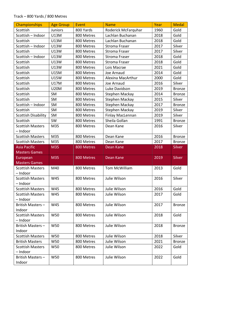#### Track – 800 Yards / 800 Metres

| Championships                       | <b>Age Group</b> | Event      | <b>Name</b>                       | Year | <b>Medal</b>            |
|-------------------------------------|------------------|------------|-----------------------------------|------|-------------------------|
| Scottish                            | Juniors          | 800 Yards  | Roderick McFarquhar               | 1960 | Gold                    |
| Scottish - Indoor                   | U13M             | 800 Metres | Lachlan Buchanan                  | 2018 | Gold                    |
| Scottish                            | U13M             | 800 Metres | Lachlan Buchanan                  | 2018 | Gold                    |
| Scottish - Indoor                   | U13W             | 800 Metres | Stroma Fraser                     | 2017 | Silver                  |
| Scottish                            | U13W             | 800 Metres | <b>Stroma Fraser</b>              | 2017 | Silver                  |
| Scottish - Indoor                   | U13W             | 800 Metres | <b>Stroma Fraser</b>              | 2018 | Gold                    |
| Scottish                            | U13W             | 800 Metres | <b>Stroma Fraser</b>              | 2018 | Gold                    |
| Scottish                            | U13W             | 800 Metres | Lois Macrae                       | 2021 | Gold                    |
| Scottish                            | <b>U15M</b>      | 800 Metres | Joe Arnaud                        | 2014 | Gold                    |
| Scottish                            | <b>U15W</b>      | 800 Metres | Alexina MacArthur                 | 2000 | Gold                    |
| Scottish                            | U17M             | 800 Metres | Joe Arnaud                        | 2016 | Silver                  |
| Scottish                            | <b>U20M</b>      | 800 Metres | Luke Davidson                     | 2019 | <b>Bronze</b>           |
| Scottish                            | <b>SM</b>        | 800 Metres | Stephen Mackay                    | 2014 | <b>Bronze</b>           |
| Scottish                            | SM               | 800 Metres | Stephen Mackay                    | 2015 | Silver                  |
| Scottish - Indoor                   | SM               | 800 Metres | Stephen Mackay                    | 2017 |                         |
| Scottish                            | SM               | 800 Metres | Stephen Mackay                    | 2019 | <b>Bronze</b><br>Silver |
| <b>Scottish Disability</b>          | SM               | 800 Metres |                                   | 2019 | Silver                  |
|                                     | SW               |            | Finlay MacLennan<br>Sheila Gollan | 1991 |                         |
| Scottish                            |                  | 800 Metres |                                   |      | <b>Bronze</b>           |
| <b>Scottish Masters</b><br>- Indoor | M35              | 800 Metres | Dean Kane                         | 2016 | Silver                  |
|                                     | M35              |            | Dean Kane                         | 2016 |                         |
| <b>Scottish Masters</b>             |                  | 800 Metres |                                   |      | <b>Bronze</b>           |
|                                     |                  |            |                                   |      |                         |
| <b>Scottish Masters</b>             | M35              | 800 Metres | Dean Kane                         | 2017 | <b>Bronze</b>           |
| <b>Asia Pacific</b>                 | M35              | 800 Metres | Dean Kane                         | 2018 | <b>Silver</b>           |
| <b>Masters Games</b>                |                  |            |                                   |      |                         |
| European                            | M35              | 800 Metres | Dean Kane                         | 2019 | Silver                  |
| <b>Masters Games</b>                |                  |            | <b>Tom McWilliam</b>              |      |                         |
| <b>Scottish Masters</b><br>- Indoor | M40              | 800 Metres |                                   | 2013 | Gold                    |
|                                     |                  |            |                                   |      |                         |
| <b>Scottish Masters</b><br>- Indoor | W45              | 800 Metres | Julie Wilson                      | 2016 | Silver                  |
| <b>Scottish Masters</b>             | W45              | 800 Metres | Julie Wilson                      |      | Gold                    |
|                                     |                  |            |                                   | 2016 |                         |
| <b>Scottish Masters</b>             | W45              | 800 Metres | Julie Wilson                      | 2017 | Gold                    |
| - Indoor                            | W45              |            |                                   |      |                         |
| British Masters-                    |                  | 800 Metres | Julie Wilson                      | 2017 | <b>Bronze</b>           |
| Indoor<br><b>Scottish Masters</b>   | W50              | 800 Metres | Julie Wilson                      |      | Gold                    |
|                                     |                  |            |                                   | 2018 |                         |
| - Indoor<br>British Masters-        | W50              | 800 Metres | Julie Wilson                      | 2018 | <b>Bronze</b>           |
| Indoor                              |                  |            |                                   |      |                         |
| <b>Scottish Masters</b>             |                  |            |                                   | 2018 |                         |
|                                     | W50              | 800 Metres | Julie Wilson                      |      | Silver                  |
| <b>British Masters</b>              | W50              | 800 Metres | Julie Wilson                      | 2021 | <b>Bronze</b>           |
| <b>Scottish Masters</b>             | W50              | 800 Metres | Julie Wilson                      | 2022 | Gold                    |
| - Indoor<br>British Masters-        | W50              | 800 Metres | Julie Wilson                      | 2022 | Gold                    |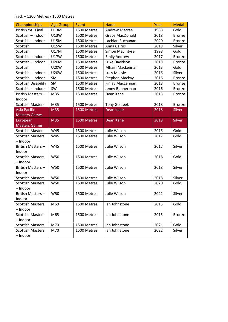#### Track – 1200 Metres / 1500 Metres

| Championships              | <b>Age Group</b> | Event       | <b>Name</b>            | Year | <b>Medal</b>  |
|----------------------------|------------------|-------------|------------------------|------|---------------|
| <b>British YAL Final</b>   | U13M             | 1500 Metres | <b>Andrew Macrae</b>   | 1988 | Gold          |
| Scottish - Indoor          | U13W             | 1500 Metres | <b>Grace MacDonald</b> | 2018 | <b>Bronze</b> |
| Scottish - Indoor          | <b>U15M</b>      | 1500 Metres | Lachlan Buchanan       | 2020 | <b>Bronze</b> |
| Scottish                   | <b>U15W</b>      | 1500 Metres | <b>Anna Cairns</b>     | 2019 | Silver        |
| Scottish                   | <b>U17M</b>      | 1500 Metres | Simon MacIntyre        | 1998 | Gold          |
| Scottish - Indoor          | <b>U17W</b>      | 1500 Metres | <b>Emily Andrew</b>    | 2017 | <b>Bronze</b> |
| Scottish - Indoor          | <b>U20M</b>      | 1500 Metres | Luke Davidson          | 2019 | <b>Bronze</b> |
| Scottish                   | <b>U20W</b>      | 1500 Metres | Mhairi MacLennan       | 2013 | Gold          |
| Scottish - Indoor          | <b>U20W</b>      | 1500 Metres | Lucy Massie            | 2016 | Silver        |
| Scottish - Indoor          | SM               | 1500 Metres | Stephen Mackay         | 2016 | <b>Bronze</b> |
| <b>Scottish Disability</b> | SM               | 1500 Metres | Finlay MacLennan       | 2018 | <b>Bronze</b> |
| Scottish - Indoor          | SW               | 1500 Metres | Jenny Bannerman        | 2016 | <b>Bronze</b> |
| British Masters-           | M35              | 1500 Metres | Dean Kane              | 2015 | <b>Bronze</b> |
| Indoor                     |                  |             |                        |      |               |
| <b>Scottish Masters</b>    | M35              | 1500 Metres | <b>Tony Golabek</b>    | 2018 | <b>Bronze</b> |
| <b>Asia Pacific</b>        | M35              | 1500 Metres | <b>Dean Kane</b>       | 2018 | <b>Silver</b> |
| <b>Masters Games</b>       |                  |             |                        |      |               |
| European                   | M35              | 1500 Metres | Dean Kane              | 2019 | Silver        |
| <b>Masters Games</b>       |                  |             |                        |      |               |
| <b>Scottish Masters</b>    | W45              | 1500 Metres | Julie Wilson           | 2016 | Gold          |
| <b>Scottish Masters</b>    | W45              | 1500 Metres | Julie Wilson           | 2017 | Gold          |
| - Indoor                   |                  |             |                        |      |               |
| British Masters-           | W45              | 1500 Metres | Julie Wilson           | 2017 | Silver        |
| Indoor                     |                  |             |                        |      |               |
| <b>Scottish Masters</b>    | <b>W50</b>       | 1500 Metres | Julie Wilson           | 2018 | Gold          |
| - Indoor                   |                  |             |                        |      |               |
| British Masters-           | <b>W50</b>       | 1500 Metres | Julie Wilson           | 2018 | Silver        |
| Indoor                     |                  |             |                        |      |               |
| <b>Scottish Masters</b>    | <b>W50</b>       | 1500 Metres | Julie Wilson           | 2018 | Silver        |
| <b>Scottish Masters</b>    | W50              | 1500 Metres | Julie Wilson           | 2020 | Gold          |
| - Indoor                   |                  |             |                        |      |               |
| British Masters-           | W50              | 1500 Metres | Julie Wilson           | 2022 | Silver        |
| Indoor                     |                  |             |                        |      |               |
| <b>Scottish Masters</b>    | M60              | 1500 Metres | Ian Johnstone          | 2015 | Gold          |
| - Indoor                   |                  |             |                        |      |               |
| <b>Scottish Masters</b>    | M65              | 1500 Metres | lan Johnstone          | 2015 | <b>Bronze</b> |
| - Indoor                   |                  |             |                        |      |               |
| <b>Scottish Masters</b>    | M70              | 1500 Metres | Ian Johnstone          | 2021 | Gold          |
| <b>Scottish Masters</b>    | M70              | 1500 Metres | Ian Johnstone          | 2022 | Silver        |
| - Indoor                   |                  |             |                        |      |               |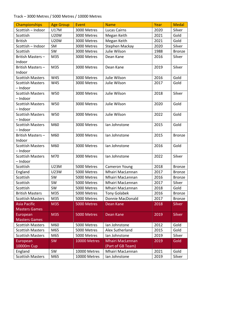#### Track – 3000 Metres / 5000 Metres / 10000 Metres

| Championships           | <b>Age Group</b> | Event        | <b>Name</b>             | Year | <b>Medal</b>  |
|-------------------------|------------------|--------------|-------------------------|------|---------------|
| Scottish - Indoor       | U17M             | 3000 Metres  | <b>Lucas Cairns</b>     | 2020 | Silver        |
| Scottish                | <b>U20W</b>      | 3000 Metres  | Megan Keith             | 2021 | Gold          |
| <b>British</b>          | <b>U20W</b>      | 3000 Metres  | Megan Keith             | 2021 | Gold          |
| Scottish - Indoor       | SM               | 3000 Metres  | Stephen Mackay          | 2020 | Silver        |
| Scottish                | SW               | 3000 Metres  | Julie Wilson            | 1988 | <b>Bronze</b> |
| British Masters-        | M35              | 3000 Metres  | Dean Kane               | 2016 | Silver        |
| Indoor                  |                  |              |                         |      |               |
| British Masters-        | M35              | 3000 Metres  | Dean Kane               | 2019 | Silver        |
| Indoor                  |                  |              |                         |      |               |
| <b>Scottish Masters</b> | W45              | 3000 Metres  | Julie Wilson            | 2016 | Gold          |
| <b>Scottish Masters</b> | W45              | 3000 Metres  | Julie Wilson            | 2017 | Gold          |
| - Indoor                |                  |              |                         |      |               |
| <b>Scottish Masters</b> | W50              | 3000 Metres  | Julie Wilson            | 2018 | Silver        |
| - Indoor                |                  |              |                         |      |               |
| <b>Scottish Masters</b> | W50              | 3000 Metres  | Julie Wilson            | 2020 | Gold          |
| - Indoor                |                  |              |                         |      |               |
| <b>Scottish Masters</b> | W50              | 3000 Metres  | Julie Wilson            | 2022 | Gold          |
| - Indoor                |                  |              |                         |      |               |
| <b>Scottish Masters</b> | M60              | 3000 Metres  | lan Johnstone           | 2015 | Gold          |
| - Indoor                |                  |              |                         |      |               |
| British Masters-        | M60              | 3000 Metres  | lan Johnstone           | 2015 | <b>Bronze</b> |
| Indoor                  |                  |              |                         |      |               |
| <b>Scottish Masters</b> | M60              | 3000 Metres  | lan Johnstone           | 2016 | Gold          |
| - Indoor                |                  |              |                         |      |               |
| <b>Scottish Masters</b> | M70              | 3000 Metres  | lan Johnstone           | 2022 | Silver        |
| - Indoor                |                  |              |                         |      |               |
| Scottish                | <b>U23M</b>      | 5000 Metres  | Cameron Young           | 2018 | <b>Bronze</b> |
| England                 | <b>U23W</b>      | 5000 Metres  | Mhairi MacLennan        | 2017 | <b>Bronze</b> |
| Scottish                | SW               | 5000 Metres  | Mhairi MacLennan        | 2016 | <b>Bronze</b> |
| Scottish                | SW               | 5000 Metres  | Mhairi MacLennan        | 2017 | Silver        |
| Scottish                | SW               | 5000 Metres  | Mhairi MacLennan        | 2018 | Gold          |
| <b>British Masters</b>  | M35              | 5000 Metres  | <b>Tony Golabek</b>     | 2016 | Bronze        |
| <b>Scottish Masters</b> | M35              | 5000 Metres  | Donnie MacDonald        | 2017 | <b>Bronze</b> |
| <b>Asia Pacific</b>     | M35              | 5000 Metres  | Dean Kane               | 2018 | <b>Silver</b> |
| <b>Masters Games</b>    |                  |              |                         |      |               |
| European                | M35              | 5000 Metres  | Dean Kane               | 2019 | Silver        |
| <b>Masters Games</b>    |                  |              |                         |      |               |
| <b>Scottish Masters</b> | M60              | 5000 Metres  | Ian Johnstone           | 2012 | Gold          |
| <b>Scottish Masters</b> | M65              | 5000 Metres  | Alex Sutherland         | 2015 | Gold          |
| <b>Scottish Masters</b> | M65              | 5000 Metres  | lan Johnstone           | 2019 | Silver        |
| European                | <b>SW</b>        | 10000 Metres | <b>Mhairi MacLennan</b> | 2019 | Gold          |
| 10000m Cup              |                  |              | (Part of GB Team)       |      |               |
| England                 | SW               | 10000 Metres | Mhairi MacLennan        | 2021 | Gold          |
| <b>Scottish Masters</b> | M65              | 10000 Metres | Ian Johnstone           | 2019 | Silver        |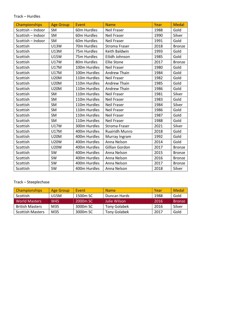#### Track – Hurdles

| <b>Championships</b> | <b>Age Group</b> | Event        | <b>Name</b>          | Year | <b>Medal</b>  |
|----------------------|------------------|--------------|----------------------|------|---------------|
| Scottish - Indoor    | <b>SM</b>        | 60m Hurdles  | <b>Neil Fraser</b>   | 1988 | Gold          |
| Scottish - Indoor    | SM               | 60m Hurdles  | Neil Fraser          | 1990 | Silver        |
| Scottish - Indoor    | SM               | 60m Hurdles  | <b>Neil Fraser</b>   | 1991 | Gold          |
| Scottish             | <b>U13W</b>      | 70m Hurdles  | <b>Stroma Fraser</b> | 2018 | <b>Bronze</b> |
| Scottish             | U13M             | 75m Hurdles  | Keith Baldwin        | 1993 | Gold          |
| Scottish             | <b>U15W</b>      | 75m Hurdles  | Eilidh Johnson       | 1985 | Gold          |
| Scottish             | <b>U17W</b>      | 80m Hurdles  | <b>Ellie Stone</b>   | 2017 | <b>Bronze</b> |
| Scottish             | <b>U17M</b>      | 100m Hurdles | <b>Neil Fraser</b>   | 1980 | Gold          |
| Scottish             | <b>U17M</b>      | 100m Hurdles | <b>Andrew Thain</b>  | 1984 | Gold          |
| Scottish             | <b>U20M</b>      | 110m Hurdles | <b>Neil Fraser</b>   | 1982 | Gold          |
| Scottish             | <b>U20M</b>      | 110m Hurdles | <b>Andrew Thain</b>  | 1985 | Gold          |
| Scottish             | <b>U20M</b>      | 110m Hurdles | Andrew Thain         | 1986 | Gold          |
| Scottish             | SM               | 110m Hurdles | <b>Neil Fraser</b>   | 1981 | Silver        |
| Scottish             | <b>SM</b>        | 110m Hurdles | <b>Neil Fraser</b>   | 1983 | Gold          |
| Scottish             | SM               | 110m Hurdles | Neil Fraser          | 1984 | Silver        |
| Scottish             | SM               | 110m Hurdles | Neil Fraser          | 1986 | Gold          |
| Scottish             | SM               | 110m Hurdles | <b>Neil Fraser</b>   | 1987 | Gold          |
| Scottish             | SM               | 110m Hurdles | <b>Neil Fraser</b>   | 1988 | Gold          |
| Scottish             | <b>U17W</b>      | 300m Hurdles | Stroma Fraser        | 2021 | Silver        |
| Scottish             | <b>U17M</b>      | 400m Hurdles | Ruairidh Munro       | 2018 | Gold          |
| Scottish             | <b>U20M</b>      | 400m Hurdles | Murray Ingram        | 1992 | Gold          |
| Scottish             | <b>U20W</b>      | 400m Hurdles | Anna Nelson          | 2014 | Gold          |
| Scottish             | <b>U20W</b>      | 400m Hurdles | Gillian Gordon       | 2017 | <b>Bronze</b> |
| Scottish             | SW               | 400m Hurdles | Anna Nelson          | 2015 | <b>Bronze</b> |
| Scottish             | SW               | 400m Hurdles | Anna Nelson          | 2016 | <b>Bronze</b> |
| Scottish             | SW               | 400m Hurdles | Anna Nelson          | 2017 | <b>Bronze</b> |
| Scottish             | <b>SW</b>        | 400m Hurdles | Anna Nelson          | 2018 | Silver        |

## Track – Steeplechase

| Championships           | <b>Age Group</b> | Event                | <b>Name</b>         | Year | Medal         |
|-------------------------|------------------|----------------------|---------------------|------|---------------|
| Scottish                | U15M             | 1500m SC             | Duncan Hards        | 1988 | Gold          |
| <b>World Masters</b>    | W45              | 2000 <sub>m</sub> SC | Julie Wilson        | 2016 | <b>Bronze</b> |
| <b>British Masters</b>  | M35              | 3000m SC             | <b>Tony Golabek</b> | 2016 | Silver        |
| <b>Scottish Masters</b> | M35              | 3000m SC             | <b>Tony Golabek</b> | 2017 | Gold          |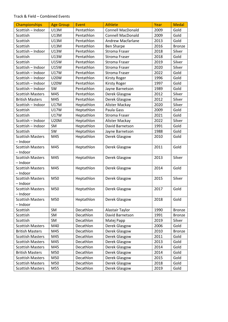#### Track & Field – Combined Events

| Championships                       | <b>Age Group</b>           | Event      | <b>Athlete</b>                    | Year | <b>Medal</b>  |
|-------------------------------------|----------------------------|------------|-----------------------------------|------|---------------|
| Scottish - Indoor                   | U13M                       | Pentathlon | <b>Connell MacDonald</b>          | 2009 | Gold          |
| Scottish                            | U13M                       | Pentathlon | <b>Connell MacDonald</b>          | 2009 | Gold          |
| Scottish                            | U13M                       | Pentathlon | <b>Andrew Macfarlane</b>          | 2013 | Gold          |
| Scottish                            | U13M                       | Pentathlon | <b>Ben Sharpe</b>                 | 2016 | <b>Bronze</b> |
| Scottish - Indoor                   | <b>U13W</b>                | Pentathlon | <b>Stroma Fraser</b>              | 2018 | Silver        |
| Scottish                            | <b>U13W</b>                | Pentathlon | <b>Stroma Fraser</b>              | 2018 | Gold          |
| Scottish                            | <b>U15W</b>                | Pentathlon | <b>Stroma Fraser</b>              | 2019 | Silver        |
| Scottish - Indoor                   | <b>U15W</b>                | Pentathlon | <b>Stroma Fraser</b>              | 2020 | Silver        |
| Scottish - Indoor                   | <b>U17W</b>                | Pentathlon | <b>Stroma Fraser</b>              | 2022 | Gold          |
| Scottish - Indoor                   | <b>U20W</b>                | Pentathlon | <b>Kirsty Roger</b>               | 1996 | Gold          |
| Scottish - Indoor                   | <b>U20W</b>                | Pentathlon | <b>Kirsty Roger</b>               | 1997 | Gold          |
| Scottish - Indoor                   | SW                         | Pentathlon | Jayne Barnetson                   | 1989 | Gold          |
| <b>Scottish Masters</b>             | M45                        | Pentathlon | Derek Glasgow                     | 2012 | Silver        |
| <b>British Masters</b>              | M45                        | Pentathlon |                                   | 2012 | Silver        |
| Scottish - Indoor                   | <b>U17M</b>                |            | Derek Glasgow                     | 2020 | Silver        |
|                                     |                            | Heptathlon | Alister Mackay<br>Paula Gass      |      | Gold          |
| Scottish                            | <b>U17W</b><br><b>U17W</b> | Heptathlon |                                   | 2009 | Gold          |
| Scottish                            |                            | Heptathlon | Stroma Fraser                     | 2021 | Silver        |
| Scottish - Indoor                   | <b>U20M</b>                | Heptathlon | Alister Mackay<br>David Barnetson | 2022 | Gold          |
| Scottish - Indoor                   | SM                         | Heptathlon |                                   | 1991 |               |
| Scottish                            | SW                         | Heptathlon | Jayne Barnetson                   | 1988 | Gold          |
| <b>Scottish Masters</b>             | M45                        | Heptathlon | Derek Glasgow                     | 2010 | Gold          |
| - Indoor                            |                            |            |                                   |      |               |
| <b>Scottish Masters</b><br>- Indoor | M45                        | Heptathlon | Derek Glasgow                     | 2011 | Gold          |
|                                     | M45                        |            |                                   | 2013 | Silver        |
| <b>Scottish Masters</b><br>- Indoor |                            | Heptathlon | Derek Glasgow                     |      |               |
| <b>Scottish Masters</b>             | M45                        |            | Derek Glasgow                     | 2014 | Gold          |
| - Indoor                            |                            | Heptathlon |                                   |      |               |
| <b>Scottish Masters</b>             | M50                        | Heptathlon | Derek Glasgow                     | 2015 | Silver        |
| - Indoor                            |                            |            |                                   |      |               |
| <b>Scottish Masters</b>             | M50                        | Heptathlon | Derek Glasgow                     | 2017 | Gold          |
| - Indoor                            |                            |            |                                   |      |               |
| <b>Scottish Masters</b>             | M50                        | Heptathlon | Derek Glasgow                     | 2018 | Gold          |
| - Indoor                            |                            |            |                                   |      |               |
| Scottish                            | SM                         | Decathlon  | Alastair Taylor                   | 1990 | <b>Bronze</b> |
| Scottish                            | SM                         | Decathlon  | David Barnetson                   | 1991 | <b>Bronze</b> |
| Scottish                            | SM                         | Decathlon  | Matej Papp                        | 2019 | Silver        |
| <b>Scottish Masters</b>             | M40                        | Decathlon  | Derek Glasgow                     | 2006 | Gold          |
| <b>British Masters</b>              | M45                        | Decathlon  | Derek Glasgow                     | 2010 | <b>Bronze</b> |
| <b>Scottish Masters</b>             | M45                        | Decathlon  | Derek Glasgow                     | 2011 | Gold          |
| <b>Scottish Masters</b>             | M45                        | Decathlon  | Derek Glasgow                     | 2013 | Gold          |
| <b>Scottish Masters</b>             | M45                        | Decathlon  | Derek Glasgow                     | 2014 | Gold          |
| <b>British Masters</b>              |                            | Decathlon  |                                   | 2014 |               |
|                                     | M50<br>M50                 | Decathlon  | Derek Glasgow                     |      | Gold<br>Gold  |
| <b>Scottish Masters</b>             |                            |            | Derek Glasgow                     | 2015 |               |
| <b>Scottish Masters</b>             | M50                        | Decathlon  | Derek Glasgow                     | 2018 | Gold          |
| <b>Scottish Masters</b>             | M55                        | Decathlon  | Derek Glasgow                     | 2019 | Gold          |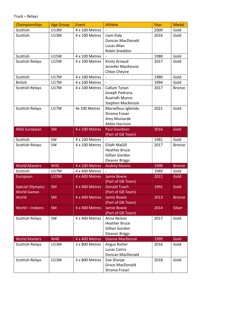| Championships           | <b>Age Group</b> | Event          | <b>Athlete</b>                          | Year | <b>Medal</b>  |
|-------------------------|------------------|----------------|-----------------------------------------|------|---------------|
| Scottish                | U13M             | 4 x 100 Metres |                                         | 2009 | Gold          |
| Scottish                | U13M             | 4 x 100 Metres | Liam Daly                               | 2016 | Gold          |
|                         |                  |                | Duncan MacDonald                        |      |               |
|                         |                  |                | Lucas Allan                             |      |               |
|                         |                  |                | Robin Sneddon                           |      |               |
| Scottish                | <b>U15W</b>      | 4 x 100 Metres |                                         | 1980 | Gold          |
| <b>Scottish Relays</b>  | <b>U15W</b>      | 4 x 100 Metres | <b>Kirsty Arnaud</b>                    | 2017 | Gold          |
|                         |                  |                | Jennifer MacKenzie                      |      |               |
|                         |                  |                | Chloe Cheyne                            |      |               |
| Scottish                | U17M             | 4 x 100 Metres |                                         | 1980 | Gold          |
| <b>British</b>          | U17M             | 4 x 100 Metres |                                         | 1994 | Gold          |
| <b>Scottish Relays</b>  | U17M             | 4 x 100 Metres | Callum Tynan                            | 2017 | <b>Bronze</b> |
|                         |                  |                | Joseph Pedrana                          |      |               |
|                         |                  |                | <b>Ruairidh Munro</b>                   |      |               |
|                         |                  |                | Stephen MacKenzie                       |      |               |
| <b>Scottish Relays</b>  | <b>U17W</b>      | 4x 100 Metres  | Marvellous Igbinidu                     | 2021 | Gold          |
|                         |                  |                | <b>Stroma Fraser</b>                    |      |               |
|                         |                  |                | Amy Mustarde                            |      |               |
|                         |                  |                | Abbie Harrison                          |      |               |
| <b>INAS European</b>    | <b>SM</b>        | 4 x 100 Metres | <b>Paul Davidson</b>                    | 2016 | Gold          |
|                         |                  |                | (Part of GB Team)                       |      |               |
| Scottish                | SW               | 4 x 100 Metres |                                         | 1981 | Gold          |
| <b>Scottish Relays</b>  | SW               | 4 x 100 Metres | Eilidh MaGill                           | 2017 | <b>Bronze</b> |
|                         |                  |                | <b>Heather Bruce</b>                    |      |               |
|                         |                  |                | Gillian Gordon                          |      |               |
|                         |                  |                | <b>Eleanor Briggs</b>                   |      |               |
| <b>World Masters</b>    | W45              | 4 x 100 Metres | <b>Audrey Munro</b>                     | 1999 | <b>Bronze</b> |
| Scottish                | U17M             | 4 x 400 Metres | Jamie Bowie                             | 1989 | Gold          |
| European                | <b>U23M</b>      | 4 x 400 Metres |                                         | 2011 | Gold          |
|                         |                  |                | (Part of GB Team)                       |      |               |
| <b>Special Olympics</b> | <b>SM</b>        | 4 x 400 Metres | <b>Donald Tuach</b>                     | 1991 | Gold          |
| <b>World Games</b>      |                  |                | (Part of GB Team)<br><b>Jamie Bowie</b> |      |               |
| World                   | <b>SM</b>        | 4 x 400 Metres | (Part of GB Team)                       | 2013 | <b>Bronze</b> |
| World - Indoors         | <b>SM</b>        | 4 x 400 Metres | Jamie Bowie                             | 2014 | <b>Silver</b> |
|                         |                  |                | (Part of GB Team)                       |      |               |
| <b>Scottish Relays</b>  | SW               | 4 x 400 Metres | Anna Nelson                             | 2017 | Gold          |
|                         |                  |                | <b>Heather Bruce</b>                    |      |               |
|                         |                  |                | Gillian Gordon                          |      |               |
|                         |                  |                | <b>Eleanor Briggs</b>                   |      |               |
| <b>World Masters</b>    | <b>W40</b>       | 4 x 400 Metres | <b>Dianne MacKenzie</b>                 | 1999 | Gold          |
| <b>Scottish Relays</b>  | U13M             | 3 x 800 Metres | Angus Rutter                            | 2016 | Gold          |
|                         |                  |                | <b>Lucas Cairns</b>                     |      |               |
|                         |                  |                | Duncan MacDonald                        |      |               |
| <b>Scottish Relays</b>  | U13W             | 3 x 800 Metres | Zoe Sharpe                              | 2018 | Gold          |
|                         |                  |                | <b>Grace MacDonald</b>                  |      |               |
|                         |                  |                | <b>Stroma Fraser</b>                    |      |               |
|                         |                  |                |                                         |      |               |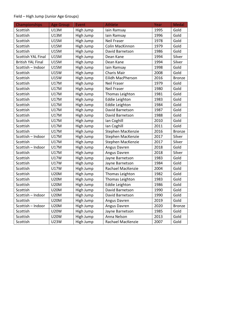## Field – High Jump (Junior Age Groups)

| Championships             | <b>Age Group</b> | Event     | <b>Athlete</b>        | Year | <b>Medal</b>  |
|---------------------------|------------------|-----------|-----------------------|------|---------------|
| Scottish                  | U13M             | High Jump | Iain Ramsay           | 1995 | Gold          |
| Scottish                  | U13M             | High Jump | lain Ramsay           | 1996 | Gold          |
| Scottish                  | <b>U15M</b>      | High Jump | <b>Neil Fraser</b>    | 1978 | Gold          |
| Scottish                  | <b>U15M</b>      | High Jump | Colin MacKinnon       | 1979 | Gold          |
| Scottish                  | <b>U15M</b>      | High Jump | David Barnetson       | 1986 | Gold          |
| <b>Scottish YAL Final</b> | <b>U15M</b>      | High Jump | Dean Kane             | 1994 | Silver        |
| <b>British YAL Final</b>  | <b>U15M</b>      | High Jump | Dean Kane             | 1994 | Silver        |
| Scottish - Indoor         | <b>U15M</b>      | High Jump | lain Ramsay           | 1998 | Gold          |
| Scottish                  | U15W             | High Jump | Charis Mair           | 2008 | Gold          |
| Scottish                  | U15W             | High Jump | Eilidh MacPherson     | 2016 | <b>Bronze</b> |
| Scottish                  | U17M             | High Jump | <b>Neil Fraser</b>    | 1979 | Gold          |
| Scottish                  | U17M             | High Jump | <b>Neil Fraser</b>    | 1980 | Gold          |
| Scottish                  | U17M             | High Jump | Thomas Leighton       | 1981 | Gold          |
| Scottish                  | U17M             | High Jump | <b>Eddie Leighton</b> | 1983 | Gold          |
| Scottish                  | U17M             | High Jump | <b>Eddie Leighton</b> | 1984 | Gold          |
| Scottish                  | U17M             | High Jump | David Barnetson       | 1987 | Gold          |
| Scottish                  | U17M             | High Jump | David Barnetson       | 1988 | Gold          |
| Scottish                  | U17M             | High Jump | Ian Coghill           | 2010 | Gold          |
| Scottish                  | U17M             | High Jump | Ian Coghill           | 2011 | Gold          |
| Scottish                  | U17M             | High Jump | Stephen MacKenzie     | 2016 | <b>Bronze</b> |
| Scottish - Indoor         | U17M             | High Jump | Stephen MacKenzie     | 2017 | Silver        |
| Scottish                  | U17M             | High Jump | Stephen MacKenzie     | 2017 | Silver        |
| Scottish - Indoor         | U17M             | High Jump | Angus Davren          | 2018 | Gold          |
| Scottish                  | U17M             | High Jump | Angus Davren          | 2018 | Silver        |
| Scottish                  | U17W             | High Jump | Jayne Barnetson       | 1983 | Gold          |
| Scottish                  | <b>U17W</b>      | High Jump | Jayne Barnetson       | 1984 | Gold          |
| Scottish                  | <b>U17W</b>      | High Jump | Rachael MacKenzie     | 2004 | Gold          |
| Scottish                  | <b>U20M</b>      | High Jump | Thomas Leighton       | 1982 | Gold          |
| Scottish                  | <b>U20M</b>      | High Jump | Thomas Leighton       | 1983 | Gold          |
| Scottish                  | <b>U20M</b>      | High Jump | <b>Eddie Leighton</b> | 1986 | Gold          |
| Scottish                  | <b>U20M</b>      | High Jump | David Barnetson       | 1990 | Gold          |
| Scottish - Indoor         | <b>U20M</b>      | High Jump | David Barnetson       | 1990 | Gold          |
| Scottish                  | <b>U20M</b>      | High Jump | Angus Davren          | 2019 | Gold          |
| Scottish - Indoor         | <b>U20M</b>      | High Jump | Angus Davren          | 2020 | <b>Bronze</b> |
| Scottish                  | U20W             | High Jump | Jayne Barnetson       | 1985 | Gold          |
| Scottish                  | U20W             | High Jump | Anna Nelson           | 2013 | Gold          |
| Scottish                  | U23W             | High Jump | Rachael MacKenzie     | 2007 | Gold          |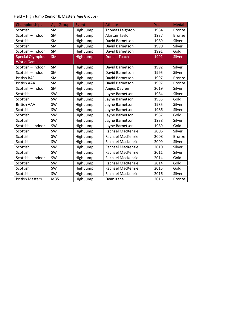## Field – High Jump (Senior & Masters Age Groups)

| Championships           | <b>Age Group</b> | Event            | <b>Athlete</b>      | Year | <b>Medal</b>  |
|-------------------------|------------------|------------------|---------------------|------|---------------|
| Scottish                | SM               | High Jump        | Thomas Leighton     | 1984 | <b>Bronze</b> |
| Scottish - Indoor       | <b>SM</b>        | High Jump        | Alastair Taylor     | 1987 | <b>Bronze</b> |
| Scottish                | <b>SM</b>        | High Jump        | David Barnetson     | 1989 | Silver        |
| Scottish                | SM               | High Jump        | David Barnetson     | 1990 | Silver        |
| Scottish - Indoor       | SM               | High Jump        | David Barnetson     | 1991 | Gold          |
| <b>Special Olympics</b> | <b>SM</b>        | <b>High Jump</b> | <b>Donald Tuach</b> | 1991 | <b>Silver</b> |
| <b>World Games</b>      |                  |                  |                     |      |               |
| Scottish - Indoor       | SM               | High Jump        | David Barnetson     | 1992 | Silver        |
| Scottish - Indoor       | <b>SM</b>        | High Jump        | David Barnetson     | 1995 | Silver        |
| <b>British BAF</b>      | SM               | High Jump        | David Barnetson     | 1997 | <b>Bronze</b> |
| <b>British AAA</b>      | <b>SM</b>        | High Jump        | David Barnetson     | 1997 | <b>Bronze</b> |
| Scottish - Indoor       | SM               | High Jump        | Angus Davren        | 2019 | Silver        |
| Scottish                | <b>SW</b>        | High Jump        | Jayne Barnetson     | 1984 | Silver        |
| Scottish                | SW               | High Jump        | Jayne Barnetson     | 1985 | Gold          |
| <b>British AAA</b>      | SW               | High Jump        | Jayne Barnetson     | 1985 | Silver        |
| Scottish                | SW               | High Jump        | Jayne Barnetson     | 1986 | Silver        |
| Scottish                | <b>SW</b>        | High Jump        | Jayne Barnetson     | 1987 | Gold          |
| Scottish                | SW               | High Jump        | Jayne Barnetson     | 1988 | Silver        |
| Scottish - Indoor       | <b>SW</b>        | High Jump        | Jayne Barnetson     | 1989 | Gold          |
| Scottish                | <b>SW</b>        | High Jump        | Rachael MacKenzie   | 2006 | Silver        |
| Scottish                | <b>SW</b>        | High Jump        | Rachael MacKenzie   | 2008 | <b>Bronze</b> |
| Scottish                | SW               | High Jump        | Rachael MacKenzie   | 2009 | Silver        |
| Scottish                | SW               | High Jump        | Rachael MacKenzie   | 2010 | Silver        |
| Scottish                | SW               | High Jump        | Rachael MacKenzie   | 2011 | Silver        |
| Scottish - Indoor       | <b>SW</b>        | High Jump        | Rachael MacKenzie   | 2014 | Gold          |
| Scottish                | SW               | High Jump        | Rachael MacKenzie   | 2014 | Gold          |
| Scottish                | <b>SW</b>        | High Jump        | Rachael MacKenzie   | 2015 | Gold          |
| Scottish                | SW               | High Jump        | Rachael MacKenzie   | 2016 | Silver        |
| <b>British Masters</b>  | M35              | High Jump        | Dean Kane           | 2016 | <b>Bronze</b> |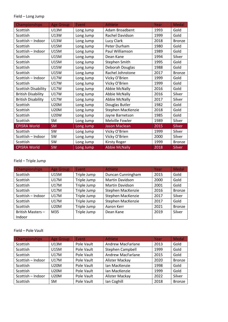#### Field – Long Jump

| Championships              | <b>Age Group</b> | Event     | <b>Athlete</b>       | <b>Year</b> | <b>Medal</b>  |
|----------------------------|------------------|-----------|----------------------|-------------|---------------|
| Scottish                   | U13M             | Long Jump | Adam Broadbent       | 1993        | Gold          |
| Scottish                   | U13W             | Long Jump | Rachel Davidson      | 1999        | Gold          |
| Scottish - Indoor          | U13W             | Long Jump | Lucy Clark           | 2018        | <b>Bronze</b> |
| Scottish                   | <b>U15M</b>      | Long Jump | Peter Durham         | 1980        | Gold          |
| Scottish - Indoor          | <b>U15M</b>      | Long Jump | Paul Williamson      | 1989        | Gold          |
| Scottish                   | U15M             | Long Jump | Dean Kane            | 1994        | Silver        |
| Scottish                   | <b>U15M</b>      | Long Jump | Stephen Smith        | 1995        | Gold          |
| Scottish                   | <b>U15W</b>      | Long Jump | Deborah Douglas      | 1988        | Gold          |
| Scottish                   | <b>U15W</b>      | Long Jump | Rachel Johnstone     | 2017        | <b>Bronze</b> |
| Scottish - Indoor          | <b>U17W</b>      | Long Jump | Vicky O'Brien        | 1999        | Gold          |
| Scottish                   | <b>U17W</b>      | Long Jump | Vicky O'Brien        | 1999        | Gold          |
| <b>Scottish Disability</b> | <b>U17W</b>      | Long Jump | <b>Abbie McNally</b> | 2016        | Gold          |
| <b>British Disability</b>  | <b>U17W</b>      | Long Jump | <b>Abbie McNally</b> | 2016        | Silver        |
| <b>British Disability</b>  | <b>U17W</b>      | Long Jump | <b>Abbie McNally</b> | 2017        | Silver        |
| Scottish                   | <b>U20M</b>      | Long Jump | Douglas Butler       | 1982        | Gold          |
| Scottish                   | <b>U20M</b>      | Long Jump | Stephen MacKenzie    | 2018        | Gold          |
| Scottish                   | <b>U20W</b>      | Long Jump | Jayne Barnetson      | 1985        | Gold          |
| Scottish                   | SM               | Long Jump | Melville Fowler      | 1989        | Silver        |
| <b>CPISRA World</b>        | <b>SM</b>        | Long Jump | <b>Jason Maclean</b> | 2015        | <b>Silver</b> |
| Scottish                   | SW               | Long Jump | Vicky O'Brien        | 1999        | Silver        |
| Scottish - Indoor          | SW               | Long Jump | Vicky O'Brien        | 2000        | Silver        |
| Scottish                   | SW               | Long Jump | <b>Kirsty Roger</b>  | 1999        | <b>Bronze</b> |
| <b>CPISRA World</b>        | SW               | Long Jump | <b>Abbie McNally</b> | 2018        | <b>Silver</b> |

## Field – Triple Jump

| <b>Championships</b> | <b>Age Group</b> | Event       | <b>Athlete</b>         | Year | <b>Medal</b>  |
|----------------------|------------------|-------------|------------------------|------|---------------|
| Scottish             | U15M             | Triple Jump | Duncan Cunningham      | 2015 | Gold          |
| <b>Scottish</b>      | U17M             | Triple Jump | <b>Martin Davidson</b> | 2000 | Gold          |
| Scottish             | <b>U17M</b>      | Triple Jump | <b>Martin Davidson</b> | 2001 | Gold          |
| Scottish             | U17M             | Triple Jump | Stephen MacKenzie      | 2016 | <b>Bronze</b> |
| Scottish - Indoor    | <b>U17M</b>      | Triple Jump | Stephen MacKenzie      | 2017 | Silver        |
| Scottish             | <b>U17M</b>      | Triple Jump | Stephen MacKenzie      | 2017 | Gold          |
| Scottish             | <b>U20M</b>      | Triple Jump | Aaron Kerr             | 2021 | <b>Bronze</b> |
| British Masters-     | M35              | Triple Jump | Dean Kane              | 2019 | Silver        |
| Indoor               |                  |             |                        |      |               |

#### Field – Pole Vault

| Championships     | <b>Age Group</b> | <b>Event</b> | Athlete                  | Year | Medal         |
|-------------------|------------------|--------------|--------------------------|------|---------------|
| Scottish          | U13M             | Pole Vault   | <b>Andrew MacFarlane</b> | 2013 | Gold          |
| Scottish          | U15M             | Pole Vault   | Stephen Campbell         | 1999 | Gold          |
| Scottish          | U17M             | Pole Vault   | <b>Andrew MacFarlane</b> | 2015 | Gold          |
| Scottish - Indoor | U17M             | Pole Vault   | Alister Mackay           | 2020 | <b>Bronze</b> |
| Scottish          | <b>U20M</b>      | Pole Vault   | Ian MacKenzie            | 1998 | Gold          |
| Scottish          | <b>U20M</b>      | Pole Vault   | Ian MacKenzie            | 1999 | Gold          |
| Scottish - Indoor | <b>U20M</b>      | Pole Vault   | Alister Mackay           | 2022 | Silver        |
| Scottish          | <b>SM</b>        | Pole Vault   | Ian Coghill              | 2018 | <b>Bronze</b> |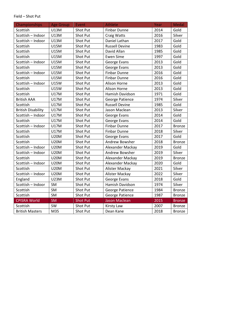#### Field – Shot Put

| Championships             | <b>Age Group</b> | Event           | Athlete               | Year | <b>Medal</b>  |
|---------------------------|------------------|-----------------|-----------------------|------|---------------|
| Scottish                  | <b>U13M</b>      | Shot Put        | <b>Finbar Dunne</b>   | 2014 | Gold          |
| Scottish - Indoor         | U13M             | Shot Put        | <b>Craig Watts</b>    | 2016 | Silver        |
| Scottish - Indoor         | U13M             | Shot Put        | Daniel Lathan         | 2017 | Gold          |
| Scottish                  | <b>U15M</b>      | Shot Put        | <b>Russell Devine</b> | 1983 | Gold          |
| Scottish                  | <b>U15M</b>      | Shot Put        | David Allan           | 1985 | Gold          |
| Scottish                  | <b>U15M</b>      | Shot Put        | <b>Ewen Sime</b>      | 1997 | Gold          |
| Scottish - Indoor         | <b>U15M</b>      | Shot Put        | George Evans          | 2013 | Gold          |
| Scottish                  | <b>U15M</b>      | Shot Put        | George Evans          | 2013 | Gold          |
| Scottish - Indoor         | <b>U15M</b>      | Shot Put        | <b>Finbar Dunne</b>   | 2016 | Gold          |
| Scottish                  | <b>U15M</b>      | Shot Put        | <b>Finbar Dunne</b>   | 2016 | Gold          |
| Scottish - Indoor         | <b>U15W</b>      | Shot Put        | Alison Horne          | 2013 | Gold          |
| Scottish                  | <b>U15W</b>      | Shot Put        | Alison Horne          | 2013 | Gold          |
| Scottish                  | <b>U17M</b>      | Shot Put        | Hamish Davidson       | 1971 | Gold          |
| <b>British AAA</b>        | <b>U17M</b>      | Shot Put        | George Patience       | 1974 | Silver        |
| Scottish                  | <b>U17M</b>      | Shot Put        | <b>Russell Devine</b> | 1985 | Gold          |
| <b>British Disability</b> | <b>U17M</b>      | Shot Put        | Jason Maclean         | 2013 | Silver        |
| Scottish - Indoor         | <b>U17M</b>      | Shot Put        | George Evans          | 2014 | Gold          |
| Scottish                  | <b>U17M</b>      | Shot Put        | George Evans          | 2014 | Gold          |
| Scottish - Indoor         | <b>U17M</b>      | Shot Put        | <b>Finbar Dunne</b>   | 2017 | <b>Bronze</b> |
| Scottish                  | <b>U17M</b>      | Shot Put        | <b>Finbar Dunne</b>   | 2018 | Silver        |
| Scottish                  | <b>U20M</b>      | Shot Put        | George Evans          | 2017 | Gold          |
| Scottish                  | <b>U20M</b>      | Shot Put        | Andrew Bowsher        | 2018 | <b>Bronze</b> |
| Scottish - Indoor         | <b>U20M</b>      | Shot Put        | Alexander Mackay      | 2019 | Gold          |
| Scottish - Indoor         | <b>U20M</b>      | Shot Put        | Andrew Bowsher        | 2019 | Silver        |
| Scottish                  | <b>U20M</b>      | Shot Put        | Alexander Mackay      | 2019 | <b>Bronze</b> |
| Scottish - Indoor         | <b>U20M</b>      | Shot Put        | Alexander Mackay      | 2020 | Gold          |
| Scottish                  | <b>U20M</b>      | Shot Put        | Alister Mackay        | 2021 | Silver        |
| Scottish - Indoor         | <b>U20M</b>      | Shot Put        | Alister Mackay        | 2022 | Silver        |
| England                   | <b>U23M</b>      | Shot Put        | George Evans          | 2018 | Gold          |
| Scottish - Indoor         | SM               | Shot Put        | Hamish Davidson       | 1974 | Silver        |
| Scottish                  | SM               | Shot Put        | George Patience       | 1984 | <b>Bronze</b> |
| Scottish                  | SM               | Shot Put        | George Patience       | 1987 | <b>Bronze</b> |
| <b>CPISRA World</b>       | <b>SM</b>        | <b>Shot Put</b> | <b>Jason Maclean</b>  | 2015 | <b>Bronze</b> |
| Scottish                  | SW               | Shot Put        | <b>Kirsty Law</b>     | 2007 | <b>Bronze</b> |
| <b>British Masters</b>    | M35              | Shot Put        | Dean Kane             | 2018 | <b>Bronze</b> |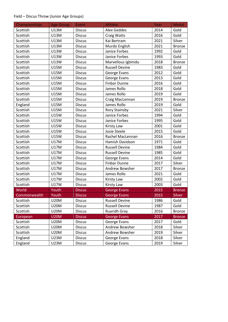## Field – Discus Throw (Junior Age Groups)

| Championships | <b>Age Group</b> | Event         | <b>Athlete</b>        | Year | <b>Medal</b>  |
|---------------|------------------|---------------|-----------------------|------|---------------|
| Scottish      | U13M             | <b>Discus</b> | <b>Alex Geddes</b>    | 2014 | Gold          |
| Scottish      | U13M             | <b>Discus</b> | <b>Craig Watts</b>    | 2016 | Gold          |
| Scottish      | U13M             | <b>Discus</b> | Kai Bertram           | 2021 | Silver        |
| Scottish      | U13M             | <b>Discus</b> | Murdo English         | 2021 | <b>Bronze</b> |
| Scottish      | <b>U13W</b>      | <b>Discus</b> | Janice Forbes         | 1992 | Gold          |
| Scottish      | U13W             | <b>Discus</b> | Janice Forbes         | 1993 | Gold          |
| Scottish      | <b>U13W</b>      | <b>Discus</b> | Marvellous Igbinidu   | 2018 | <b>Bronze</b> |
| Scottish      | <b>U15M</b>      | <b>Discus</b> | <b>Russell Devine</b> | 1983 | Gold          |
| Scottish      | <b>U15M</b>      | <b>Discus</b> | George Evans          | 2012 | Gold          |
| Scottish      | U15M             | <b>Discus</b> | George Evans          | 2013 | Gold          |
| Scottish      | <b>U15M</b>      | <b>Discus</b> | <b>Finbar Dunne</b>   | 2016 | Gold          |
| Scottish      | <b>U15M</b>      | <b>Discus</b> | James Rollo           | 2018 | Gold          |
| Scottish      | <b>U15M</b>      | <b>Discus</b> | James Rollo           | 2019 | Gold          |
| Scottish      | <b>U15M</b>      | <b>Discus</b> | Craig MacLennan       | 2019 | <b>Bronze</b> |
| England       | <b>U15M</b>      | <b>Discus</b> | James Rollo           | 2019 | Gold          |
| Scottish      | <b>U15M</b>      | <b>Discus</b> | <b>Rory Stainsby</b>  | 2021 | Silver        |
| Scottish      | <b>U15W</b>      | <b>Discus</b> | Janice Forbes         | 1994 | Gold          |
| Scottish      | <b>U15W</b>      | <b>Discus</b> | Janice Forbes         | 1995 | Gold          |
| Scottish      | <b>U15W</b>      | <b>Discus</b> | <b>Kirsty Law</b>     | 2001 | Gold          |
| Scottish      | <b>U15W</b>      | <b>Discus</b> | Josie Steele          | 2015 | Gold          |
| Scottish      | <b>U15W</b>      | <b>Discus</b> | Rachel MacLennan      | 2016 | <b>Bronze</b> |
| Scottish      | U17M             | <b>Discus</b> | Hamish Davidson       | 1971 | Gold          |
| Scottish      | U17M             | <b>Discus</b> | <b>Russell Devine</b> | 1984 | Gold          |
| Scottish      | <b>U17M</b>      | <b>Discus</b> | <b>Russell Devine</b> | 1985 | Gold          |
| Scottish      | U17M             | <b>Discus</b> | George Evans          | 2014 | Gold          |
| Scottish      | U17M             | <b>Discus</b> | <b>Finbar Dunne</b>   | 2017 | Silver        |
| Scottish      | <b>U17M</b>      | <b>Discus</b> | Andrew Bowsher        | 2017 | <b>Bronze</b> |
| Scottish      | U17M             | <b>Discus</b> | James Rollo           | 2021 | Gold          |
| Scottish      | <b>U17W</b>      | <b>Discus</b> | <b>Kirsty Law</b>     | 2002 | Gold          |
| Scottish      | <b>U17W</b>      | <b>Discus</b> | <b>Kirsty Law</b>     | 2003 | Gold          |
| World         | Youth            | <b>Discus</b> | <b>George Evans</b>   | 2015 | <b>Bronze</b> |
| Commonwealth  | Youth            | <b>Discus</b> | <b>George Evans</b>   | 2015 | Silver        |
| Scottish      | <b>U20M</b>      | <b>Discus</b> | <b>Russell Devine</b> | 1986 | Gold          |
| Scottish      | <b>U20M</b>      | <b>Discus</b> | <b>Russell Devine</b> | 1987 | Gold          |
| Scottish      | U20M             | <b>Discus</b> | <b>Ruaridh Gray</b>   | 2016 | <b>Bronze</b> |
| European      | <b>U20M</b>      | <b>Discus</b> | <b>George Evans</b>   | 2017 | <b>Bronze</b> |
| Scottish      | U20M             | <b>Discus</b> | George Evans          | 2017 | Gold          |
| Scottish      | <b>U20M</b>      | <b>Discus</b> | Andrew Bowsher        | 2018 | Silver        |
| Scottish      | U20M             | <b>Discus</b> | Andrew Bowsher        | 2019 | Silver        |
| England       | U23M             | <b>Discus</b> | George Evans          | 2018 | Silver        |
| England       | U23M             | <b>Discus</b> | George Evans          | 2019 | Silver        |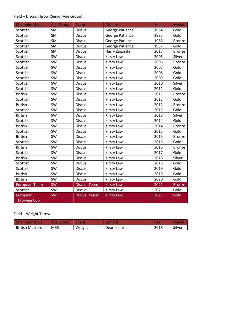## Field – Discus Throw (Senior Age Group)

| Championships        | <b>Age Group</b> | Event         | <b>Athlete</b>         | Year | <b>Medal</b>  |
|----------------------|------------------|---------------|------------------------|------|---------------|
| Scottish             | <b>SM</b>        | <b>Discus</b> | <b>George Patience</b> | 1984 | Gold          |
| Scottish             | SM               | <b>Discus</b> | <b>George Patience</b> | 1985 | Gold          |
| Scottish             | SM               | <b>Discus</b> | <b>George Patience</b> | 1986 | <b>Bronze</b> |
| Scottish             | SM               | <b>Discus</b> | <b>George Patience</b> | 1987 | Gold          |
| Scottish             | SM               | <b>Discus</b> | Harry Zagorski         | 2017 | <b>Bronze</b> |
| Scottish             | SW               | <b>Discus</b> | <b>Kirsty Law</b>      | 2005 | Silver        |
| Scottish             | SW               | <b>Discus</b> | <b>Kirsty Law</b>      | 2006 | <b>Bronze</b> |
| Scottish             | SW               | <b>Discus</b> | <b>Kirsty Law</b>      | 2007 | Gold          |
| Scottish             | SW               | <b>Discus</b> | <b>Kirsty Law</b>      | 2008 | Gold          |
| Scottish             | SW               | <b>Discus</b> | <b>Kirsty Law</b>      | 2009 | Gold          |
| Scottish             | SW               | <b>Discus</b> | Kirsty Law             | 2010 | Silver        |
| Scottish             | SW               | <b>Discus</b> | <b>Kirsty Law</b>      | 2011 | Gold          |
| <b>British</b>       | SW               | <b>Discus</b> | <b>Kirsty Law</b>      | 2011 | <b>Bronze</b> |
| Scottish             | SW               | <b>Discus</b> | <b>Kirsty Law</b>      | 2012 | Gold          |
| <b>British</b>       | SW               | <b>Discus</b> | <b>Kirsty Law</b>      | 2012 | <b>Bronze</b> |
| Scottish             | SW               | <b>Discus</b> | <b>Kirsty Law</b>      | 2013 | Gold          |
| <b>British</b>       | SW               | <b>Discus</b> | <b>Kirsty Law</b>      | 2013 | Silver        |
| Scottish             | SW               | <b>Discus</b> | <b>Kirsty Law</b>      | 2014 | Gold          |
| <b>British</b>       | SW               | <b>Discus</b> | <b>Kirsty Law</b>      | 2014 | <b>Bronze</b> |
| Scottish             | SW               | <b>Discus</b> | <b>Kirsty Law</b>      | 2015 | Gold          |
| <b>British</b>       | SW               | <b>Discus</b> | <b>Kirsty Law</b>      | 2015 | <b>Bronze</b> |
| Scottish             | SW               | <b>Discus</b> | <b>Kirsty Law</b>      | 2016 | Gold          |
| <b>British</b>       | SW               | <b>Discus</b> | <b>Kirsty Law</b>      | 2016 | <b>Bronze</b> |
| Scottish             | SW               | <b>Discus</b> | <b>Kirsty Law</b>      | 2017 | Gold          |
| <b>British</b>       | SW               | <b>Discus</b> | <b>Kirsty Law</b>      | 2018 | Silver        |
| Scottish             | SW               | <b>Discus</b> | <b>Kirsty Law</b>      | 2018 | Gold          |
| Scottish             | SW               | <b>Discus</b> | <b>Kirsty Law</b>      | 2019 | Gold          |
| <b>British</b>       | SW               | <b>Discus</b> | <b>Kirsty Law</b>      | 2019 | Gold          |
| <b>British</b>       | SW               | <b>Discus</b> | <b>Kirsty Law</b>      | 2020 | Gold          |
| <b>European Team</b> | <b>SW</b>        | Discus (Team) | <b>Kirsty Law</b>      | 2021 | <b>Bronze</b> |
| Scottish             | SW               | <b>Discus</b> | <b>Kirsty Law</b>      | 2021 | Gold          |
| European             | SW               | Discus (Team) | <b>Kirsty Law</b>      | 2021 | Gold          |
| <b>Throwing Cup</b>  |                  |               |                        |      |               |

Field – Weight Throw

| <b>Championships</b>   | Age Group | <b>\Event\</b> | <b>Athlete</b> | Yeai | <b>Meda</b> |
|------------------------|-----------|----------------|----------------|------|-------------|
| <b>British Masters</b> | M35       | Weight         | Dean Kane      | 2018 | Silver      |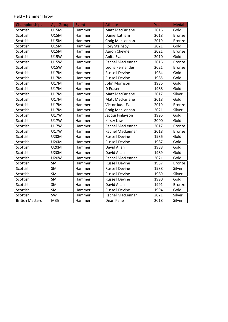#### Field – Hammer Throw

| Championships          | <b>Age Group</b> | Event  | Athlete               | Year | <b>Medal</b>  |
|------------------------|------------------|--------|-----------------------|------|---------------|
| Scottish               | <b>U15M</b>      | Hammer | Matt MacFarlane       | 2016 | Gold          |
| Scottish               | <b>U15M</b>      | Hammer | Daniel Latham         | 2018 | <b>Bronze</b> |
| Scottish               | <b>U15M</b>      | Hammer | Craig MacLennan       | 2019 | <b>Bronze</b> |
| Scottish               | <b>U15M</b>      | Hammer | Rory Stainsby         | 2021 | Gold          |
| Scottish               | <b>U15M</b>      | Hammer | Aaron Cheyne          | 2021 | <b>Bronze</b> |
| Scottish               | <b>U15W</b>      | Hammer | Anita Evans           | 2010 | Gold          |
| Scottish               | <b>U15W</b>      | Hammer | Rachel MacLennan      | 2016 | <b>Bronze</b> |
| Scottish               | <b>U15W</b>      | Hammer | Leona Fernandes       | 2021 | <b>Bronze</b> |
| Scottish               | <b>U17M</b>      | Hammer | <b>Russell Devine</b> | 1984 | Gold          |
| Scottish               | <b>U17M</b>      | Hammer | <b>Russell Devine</b> | 1985 | Gold          |
| Scottish               | <b>U17M</b>      | Hammer | John Morrison         | 1986 | Gold          |
| Scottish               | <b>U17M</b>      | Hammer | D Fraser              | 1988 | Gold          |
| Scottish               | <b>U17M</b>      | Hammer | Matt MacFarlane       | 2017 | Silver        |
| Scottish               | <b>U17M</b>      | Hammer | Matt MacFarlane       | 2018 | Gold          |
| Scottish               | <b>U17M</b>      | Hammer | Victor Jude-Eze       | 2019 | <b>Bronze</b> |
| Scottish               | <b>U17M</b>      | Hammer | Craig MacLennan       | 2021 | Silver        |
| Scottish               | <b>U17W</b>      | Hammer | Jacqui Finlayson      | 1996 | Gold          |
| Scottish               | <b>U17W</b>      | Hammer | <b>Kirsty Law</b>     | 2000 | Gold          |
| Scottish               | <b>U17W</b>      | Hammer | Rachel MacLennan      | 2017 | <b>Bronze</b> |
| Scottish               | <b>U17W</b>      | Hammer | Rachel MacLennan      | 2018 | <b>Bronze</b> |
| Scottish               | <b>U20M</b>      | Hammer | <b>Russell Devine</b> | 1986 | Gold          |
| Scottish               | <b>U20M</b>      | Hammer | <b>Russell Devine</b> | 1987 | Gold          |
| Scottish               | <b>U20M</b>      | Hammer | David Allan           | 1988 | Gold          |
| Scottish               | <b>U20M</b>      | Hammer | David Allan           | 1989 | Gold          |
| Scottish               | <b>U20W</b>      | Hammer | Rachel MacLennan      | 2021 | Gold          |
| Scottish               | SM               | Hammer | <b>Russell Devine</b> | 1987 | <b>Bronze</b> |
| Scottish               | SM               | Hammer | <b>Russell Devine</b> | 1988 | Silver        |
| Scottish               | SM               | Hammer | <b>Russell Devine</b> | 1989 | Silver        |
| Scottish               | SM               | Hammer | <b>Russell Devine</b> | 1990 | Gold          |
| Scottish               | SM               | Hammer | David Allan           | 1991 | <b>Bronze</b> |
| Scottish               | SM               | Hammer | <b>Russell Devine</b> | 1994 | Gold          |
| Scottish               | SW               | Hammer | Rachel MacLennan      | 2021 | Silver        |
| <b>British Masters</b> | M35              | Hammer | Dean Kane             | 2018 | Silver        |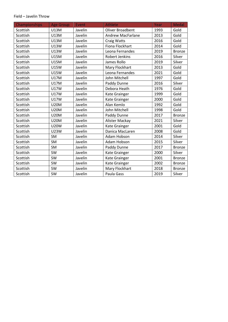#### Field – Javelin Throw

| Championships | <b>Age Group</b> | Event   | <b>Athlete</b>           | Year | <b>Medal</b>  |
|---------------|------------------|---------|--------------------------|------|---------------|
| Scottish      | <b>U13M</b>      | Javelin | Oliver Broadbent         | 1993 | Gold          |
| Scottish      | <b>U13M</b>      | Javelin | <b>Andrew MacFarlane</b> | 2013 | Gold          |
| Scottish      | <b>U13M</b>      | Javelin | <b>Craig Watts</b>       | 2016 | Gold          |
| Scottish      | <b>U13W</b>      | Javelin | Fiona Flockhart          | 2014 | Gold          |
| Scottish      | <b>U13W</b>      | Javelin | Leona Fernandes          | 2019 | <b>Bronze</b> |
| Scottish      | <b>U15M</b>      | Javelin | Robert Jenkins           | 2016 | Silver        |
| Scottish      | <b>U15M</b>      | Javelin | James Rollo              | 2019 | Silver        |
| Scottish      | <b>U15W</b>      | Javelin | Mary Flockhart           | 2013 | Gold          |
| Scottish      | <b>U15W</b>      | Javelin | Leona Fernandes          | 2021 | Gold          |
| Scottish      | <b>U17M</b>      | Javelin | John Mitchell            | 1997 | Gold          |
| Scottish      | <b>U17M</b>      | Javelin | Paddy Dunne              | 2016 | Silver        |
| Scottish      | <b>U17W</b>      | Javelin | Debora Heath             | 1976 | Gold          |
| Scottish      | <b>U17W</b>      | Javelin | Kate Grainger            | 1999 | Gold          |
| Scottish      | <b>U17W</b>      | Javelin | Kate Grainger            | 2000 | Gold          |
| Scottish      | <b>U20M</b>      | Javelin | Alan Kemlo               | 1992 | Gold          |
| Scottish      | <b>U20M</b>      | Javelin | John Mitchell            | 1998 | Gold          |
| Scottish      | <b>U20M</b>      | Javelin | Paddy Dunne              | 2017 | <b>Bronze</b> |
| Scottish      | <b>U20M</b>      | Javelin | Alister Mackay           | 2021 | Silver        |
| Scottish      | <b>U20W</b>      | Javelin | Kate Grainger            | 2001 | Gold          |
| Scottish      | <b>U23W</b>      | Javelin | Danica MacLaren          | 2008 | Gold          |
| Scottish      | SM               | Javelin | Adam Hobson              | 2014 | Silver        |
| Scottish      | SM               | Javelin | Adam Hobson              | 2015 | Silver        |
| Scottish      | <b>SM</b>        | Javelin | Paddy Dunne              | 2017 | <b>Bronze</b> |
| Scottish      | SW               | Javelin | Kate Grainger            | 2000 | Silver        |
| Scottish      | <b>SW</b>        | Javelin | Kate Grainger            | 2001 | <b>Bronze</b> |
| Scottish      | SW               | Javelin | Kate Grainger            | 2002 | <b>Bronze</b> |
| Scottish      | SW               | Javelin | Mary Flockhart           | 2018 | <b>Bronze</b> |
| Scottish      | SW               | Javelin | Paula Gass               | 2019 | Silver        |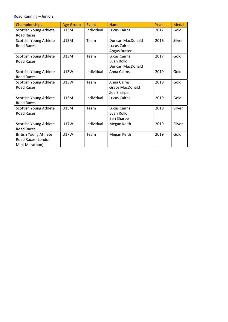Road Running – Juniors

| <b>Championships</b>         | <b>Age Group</b> | Event      | <b>Name</b>            | Year | <b>Medal</b> |
|------------------------------|------------------|------------|------------------------|------|--------------|
| Scottish Young Athlete       | U13M             | Individual | <b>Lucas Cairns</b>    | 2017 | Gold         |
| <b>Road Races</b>            |                  |            |                        |      |              |
| Scottish Young Athlete       | U13M             | Team       | Duncan MacDonald       | 2016 | Silver       |
| Road Races                   |                  |            | Lucas Cairns           |      |              |
|                              |                  |            | Angus Rutter           |      |              |
| Scottish Young Athlete       | <b>U13M</b>      | Team       | Lucas Cairns           | 2017 | Gold         |
| Road Races                   |                  |            | Euan Rollo             |      |              |
|                              |                  |            | Duncan MacDonald       |      |              |
| Scottish Young Athlete       | U13W             | Individual | Anna Cairns            | 2019 | Gold         |
| <b>Road Races</b>            |                  |            |                        |      |              |
| Scottish Young Athlete       | U13W             | Team       | Anna Cairns            | 2019 | Gold         |
| Road Races                   |                  |            | <b>Grace MacDonald</b> |      |              |
|                              |                  |            | Zoe Sharpe             |      |              |
| Scottish Young Athlete       | <b>U15M</b>      | Individual | Lucas Cairns           | 2019 | Gold         |
| <b>Road Races</b>            |                  |            |                        |      |              |
| Scottish Young Athlete       | <b>U15M</b>      | Team       | Lucas Cairns           | 2019 | Silver       |
| <b>Road Races</b>            |                  |            | Euan Rollo             |      |              |
|                              |                  |            | <b>Ben Sharpe</b>      |      |              |
| Scottish Young Athlete       | <b>U17W</b>      | Individual | Megan Keith            | 2019 | Silver       |
| <b>Road Races</b>            |                  |            |                        |      |              |
| <b>British Young Athlete</b> | <b>U17W</b>      | Team       | Megan Keith            | 2019 | Gold         |
| Road Races (London           |                  |            |                        |      |              |
| Mini-Marathon)               |                  |            |                        |      |              |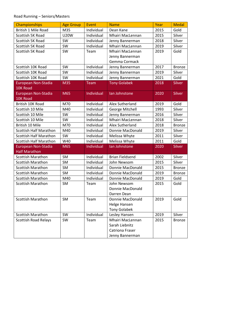## Road Running – Seniors/Masters

| Championships                 | <b>Age Group</b> | Event      | <b>Name</b>            | Year | <b>Medal</b>  |
|-------------------------------|------------------|------------|------------------------|------|---------------|
| <b>British 1 Mile Road</b>    | M35              | Individual | Dean Kane              | 2015 | Gold          |
| Scottish 5K Road              | <b>U20W</b>      | Individual | Mhairi MacLennan       | 2015 | Silver        |
| Scottish 5K Road              | SW               | Individual | Jenny Bannerman        | 2018 | Silver        |
| Scottish 5K Road              | SW               | Individual | Mhairi MacLennan       | 2019 | Silver        |
| Scottish 5K Road              | SW               | Team       | Mhairi MacLennan       | 2019 | Gold          |
|                               |                  |            | Jenny Bannerman        |      |               |
|                               |                  |            | Gemma Cormack          |      |               |
| Scottish 10K Road             | SW               | Individual | Jenny Bannerman        | 2017 | <b>Bronze</b> |
| Scottish 10K Road             | SW               | Individual | Jenny Bannerman        | 2019 | Silver        |
| Scottish 10K Road             | SW               | Individual | Jenny Bannerman        | 2021 | Gold          |
| European Non-Stadia           | M35              | Team       | <b>Tony Golabek</b>    | 2018 | Silver        |
| 10K Road                      |                  |            |                        |      |               |
| European Non-Stadia           | M65              | Individual | lan Johnstone          | 2020 | Silver        |
| 10K Road                      |                  |            |                        |      |               |
| British 10K Road              | M70              | Individual | Alex Sutherland        | 2019 | Gold          |
| Scottish 10 Mile              | M40              | Individual | George Mitchell        | 1993 | Silver        |
| Scottish 10 Mile              | SW               | Individual | Jenny Bannerman        | 2016 | Silver        |
| Scottish 10 Mile              | SW               | Individual | Mhairi MacLennan       | 2018 | Silver        |
| British 10 Mile               | M70              | Individual | Alex Sutherland        | 2018 | <b>Bronze</b> |
| <b>Scottish Half Marathon</b> | M40              | Individual | Donnie MacDonald       | 2019 | Silver        |
| <b>Scottish Half Marathon</b> | SW               | Individual | Melissa Whyte          | 2011 | Silver        |
| <b>Scottish Half Marathon</b> | W40              | Individual | Melissa Whyte          | 2011 | Gold          |
| European Non-Stadia           | M65              | Individual | lan Johnstone          | 2020 | <b>Silver</b> |
| <b>Half Marathon</b>          |                  |            |                        |      |               |
| <b>Scottish Marathon</b>      | <b>SM</b>        | Individual | <b>Brian Fieldsend</b> | 2002 | Silver        |
| <b>Scottish Marathon</b>      | <b>SM</b>        | Individual | John Newsom            | 2015 | Silver        |
| <b>Scottish Marathon</b>      | <b>SM</b>        | Individual | Donnie MacDonald       | 2015 | <b>Bronze</b> |
| <b>Scottish Marathon</b>      | SM               | Individual | Donnie MacDonald       | 2019 | <b>Bronze</b> |
| <b>Scottish Marathon</b>      | M40              | Individual | Donnie MacDonald       | 2019 | Gold          |
| <b>Scottish Marathon</b>      | <b>SM</b>        | Team       | John Newsom            | 2015 | Gold          |
|                               |                  |            | Donnie MacDonald       |      |               |
|                               |                  |            | Darren Dean            |      |               |
| <b>Scottish Marathon</b>      | SM               | Team       | Donnie MacDonald       | 2019 | Gold          |
|                               |                  |            | Helge Hansen           |      |               |
|                               |                  |            | <b>Tony Golabek</b>    |      |               |
| <b>Scottish Marathon</b>      | SW               | Individual | Lesley Hansen          | 2019 | Silver        |
| <b>Scottish Road Relays</b>   | <b>SW</b>        | Team       | Mhairi MacLennan       | 2015 | <b>Bronze</b> |
|                               |                  |            | Sarah Liebnitz         |      |               |
|                               |                  |            | Catriona Fraser        |      |               |
|                               |                  |            | Jenny Bannerman        |      |               |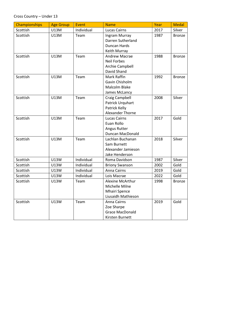| Championships | <b>Age Group</b> | Event      | <b>Name</b>            | Year | <b>Medal</b>  |
|---------------|------------------|------------|------------------------|------|---------------|
| Scottish      | U13M             | Individual | <b>Lucas Cairns</b>    | 2017 | Silver        |
| Scottish      | U13M             | Team       | Ingram Murray          | 1987 | <b>Bronze</b> |
|               |                  |            | Darren Sutherland      |      |               |
|               |                  |            | Duncan Hards           |      |               |
|               |                  |            | Keith Murray           |      |               |
| Scottish      | <b>U13M</b>      | Team       | Andrew Macrae          | 1988 | <b>Bronze</b> |
|               |                  |            | <b>Neil Forbes</b>     |      |               |
|               |                  |            | Archie Campbell        |      |               |
|               |                  |            | David Shand            |      |               |
| Scottish      | <b>U13M</b>      | Team       | Mark Raffin            | 1992 | <b>Bronze</b> |
|               |                  |            | Gavin Chisholm         |      |               |
|               |                  |            | Malcolm Blake          |      |               |
|               |                  |            | James McLancy          |      |               |
| Scottish      | U13M             | Team       | Craig Campbell         | 2008 | Silver        |
|               |                  |            | Patrick Urquhart       |      |               |
|               |                  |            | Patrick Kelly          |      |               |
|               |                  |            | Alexander Thorne       |      |               |
| Scottish      | <b>U13M</b>      | Team       | <b>Lucas Cairns</b>    | 2017 | Gold          |
|               |                  |            | Euan Rollo             |      |               |
|               |                  |            | Angus Rutter           |      |               |
|               |                  |            | Duncan MacDonald       |      |               |
| Scottish      | U13M             | Team       | Lachlan Buchanan       | 2018 | Silver        |
|               |                  |            | Sam Burnett            |      |               |
|               |                  |            | Alexander Jamieson     |      |               |
|               |                  |            | Jake Henderson         |      |               |
| Scottish      | U13W             | Individual | Roma Davidson          | 1987 | Silver        |
| Scottish      | U13W             | Individual | <b>Briony Swanson</b>  | 2002 | Gold          |
| Scottish      | U13W             | Individual | Anna Cairns            | 2019 | Gold          |
| Scottish      | U13W             | Individual | Lois Macrae            | 2022 | Gold          |
| Scottish      | U13W             | Team       | Alexine McArthur       | 1998 | <b>Bronze</b> |
|               |                  |            | Michelle Milne         |      |               |
|               |                  |            | <b>Mhairi Spence</b>   |      |               |
|               |                  |            | Liusaidh Mathieson     |      |               |
| Scottish      | <b>U13W</b>      | Team       | Anna Cairns            | 2019 | Gold          |
|               |                  |            | Zoe Sharpe             |      |               |
|               |                  |            | <b>Grace MacDonald</b> |      |               |
|               |                  |            | Kirsten Burnett        |      |               |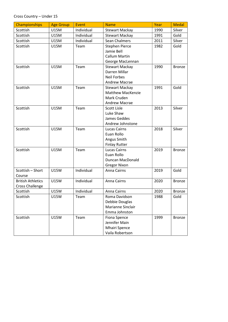#### Cross Country – Under 15

| Championships            | <b>Age Group</b> | Event      | <b>Name</b>           | Year | <b>Medal</b>  |
|--------------------------|------------------|------------|-----------------------|------|---------------|
| Scottish                 | <b>U15M</b>      | Individual | <b>Stewart Mackay</b> | 1990 | Silver        |
| Scottish                 | <b>U15M</b>      | Individual | <b>Stewart Mackay</b> | 1991 | Gold          |
| Scottish                 | <b>U15M</b>      | Individual | Sean Chalmers         | 2011 | Silver        |
| Scottish                 | <b>U15M</b>      | Team       | <b>Stephen Pierce</b> | 1982 | Gold          |
|                          |                  |            | Jamie Bell            |      |               |
|                          |                  |            | <b>Callum Martin</b>  |      |               |
|                          |                  |            | George MacLennan      |      |               |
| Scottish                 | <b>U15M</b>      | Team       | <b>Stewart Mackay</b> | 1990 | <b>Bronze</b> |
|                          |                  |            | Darren Millar         |      |               |
|                          |                  |            | <b>Neil Forbes</b>    |      |               |
|                          |                  |            | Andrew Macrae         |      |               |
| Scottish                 | <b>U15M</b>      | Team       | <b>Stewart Mackay</b> | 1991 | Gold          |
|                          |                  |            | Matthew MacKenzie     |      |               |
|                          |                  |            | Mark Cruden           |      |               |
|                          |                  |            | <b>Andrew Macrae</b>  |      |               |
| Scottish                 | <b>U15M</b>      | Team       | Scott Lisle           | 2013 | Silver        |
|                          |                  |            | Luke Shaw             |      |               |
|                          |                  |            | James Geddes          |      |               |
|                          |                  |            | Andrew Johnstone      |      |               |
| Scottish                 | <b>U15M</b>      | Team       | <b>Lucas Cairns</b>   | 2018 | Silver        |
|                          |                  |            | Euan Rollo            |      |               |
|                          |                  |            | Angus Smith           |      |               |
|                          |                  |            | <b>Finlay Rutter</b>  |      |               |
| Scottish                 | <b>U15M</b>      | Team       | <b>Lucas Cairns</b>   | 2019 | <b>Bronze</b> |
|                          |                  |            | Euan Rollo            |      |               |
|                          |                  |            | Duncan MacDonald      |      |               |
|                          |                  |            | <b>Gregor Nixon</b>   |      |               |
| Scottish - Short         | <b>U15W</b>      | Individual | Anna Cairns           | 2019 | Gold          |
| Course                   |                  |            |                       |      |               |
| <b>British Athletics</b> | <b>U15W</b>      | Individual | Anna Cairns           | 2020 | Bronze        |
| <b>Cross Challenge</b>   |                  |            |                       |      |               |
| Scottish                 | <b>U15W</b>      | Individual | Anna Cairns           | 2020 | Bronze        |
| Scottish                 | <b>U15W</b>      | Team       | Roma Davidson         | 1988 | Gold          |
|                          |                  |            | Debbie Douglas        |      |               |
|                          |                  |            | Marianne Sinclair     |      |               |
|                          |                  |            | Emma Johnston         |      |               |
| Scottish                 | <b>U15W</b>      | Team       | Fiona Spence          | 1999 | <b>Bronze</b> |
|                          |                  |            | Jennifer Main         |      |               |
|                          |                  |            | <b>Mhairi Spence</b>  |      |               |
|                          |                  |            | Vaila Robertson       |      |               |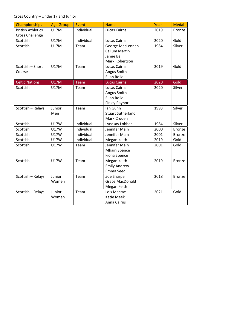#### Cross Country – Under 17 and Junior

| <b>Championships</b>                               | <b>Age Group</b> | <b>Event</b> | <b>Name</b>                                                              | Year | <b>Medal</b>  |
|----------------------------------------------------|------------------|--------------|--------------------------------------------------------------------------|------|---------------|
| <b>British Athletics</b><br><b>Cross Challenge</b> | <b>U17M</b>      | Individual   | Lucas Cairns                                                             | 2019 | <b>Bronze</b> |
| Scottish                                           | <b>U17M</b>      | Individual   | <b>Lucas Cairns</b>                                                      | 2020 | Gold          |
| Scottish                                           | <b>U17M</b>      | Team         | George MacLennan<br><b>Callum Martin</b><br>Jamie Bell<br>Mark Robertson | 1984 | Silver        |
| Scottish - Short<br>Course                         | <b>U17M</b>      | Team         | <b>Lucas Cairns</b><br>Angus Smith<br>Euan Rollo                         | 2019 | Gold          |
| <b>Celtic Nations</b>                              | <b>U17M</b>      | Team         | <b>Lucas Cairns</b>                                                      | 2020 | Gold          |
| Scottish                                           | <b>U17M</b>      | Team         | <b>Lucas Cairns</b><br>Angus Smith<br>Euan Rollo<br>Finlay Raynor        | 2020 | Silver        |
| Scottish - Relays                                  | Junior<br>Men    | Team         | Ian Gunn<br><b>Stuart Sutherland</b><br>Mark Cruden                      | 1993 | Silver        |
| Scottish                                           | <b>U17W</b>      | Individual   | Lyndsay Lobban                                                           | 1984 | Silver        |
| Scottish                                           | <b>U17W</b>      | Individual   | Jennifer Main                                                            | 2000 | <b>Bronze</b> |
| Scottish                                           | <b>U17W</b>      | Individual   | Jennifer Main                                                            | 2001 | <b>Bronze</b> |
| Scottish                                           | <b>U17W</b>      | Individual   | Megan Keith                                                              | 2019 | Gold          |
| Scottish                                           | <b>U17W</b>      | Team         | Jennifer Main<br><b>Mhairi Spence</b><br>Fiona Spence                    | 2001 | Gold          |
| Scottish                                           | <b>U17W</b>      | Team         | Megan Keith<br><b>Emily Andrew</b><br>Emma Seed                          | 2019 | <b>Bronze</b> |
| Scottish - Relays                                  | Junior<br>Women  | Team         | Zoe Sharpe<br><b>Grace MacDonald</b><br>Megan Keith                      | 2018 | <b>Bronze</b> |
| Scottish - Relays                                  | Junior<br>Women  | Team         | Lois Macrae<br>Katie Meek<br>Anna Cairns                                 | 2021 | Gold          |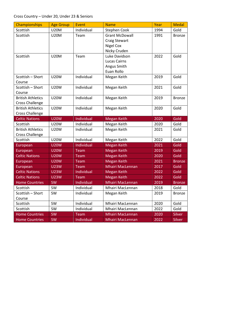| Championships            | <b>Age Group</b> | Event      | <b>Name</b>             | Year              | <b>Medal</b>  |
|--------------------------|------------------|------------|-------------------------|-------------------|---------------|
| Scottish                 | <b>U20M</b>      | Individual | <b>Stephen Cook</b>     | 1994              | Gold          |
| Scottish                 | <b>U20M</b>      | Team       | <b>Grant McDowall</b>   | 1991              | <b>Bronze</b> |
|                          |                  |            | <b>Craig Stewart</b>    |                   |               |
|                          |                  |            | <b>Nigel Cox</b>        |                   |               |
|                          |                  |            | Nicky Cruden            |                   |               |
| Scottish                 | <b>U20M</b>      | Team       | Luke Davidson           | 2022              | Gold          |
|                          |                  |            | <b>Lucas Cairns</b>     |                   |               |
|                          |                  |            | Angus Smith             |                   |               |
|                          |                  |            | Euan Rollo              |                   |               |
| Scottish - Short         | <b>U20W</b>      | Individual | Megan Keith             | 2019              | Gold          |
| Course                   |                  |            |                         |                   |               |
| Scottish - Short         | <b>U20W</b>      | Individual | Megan Keith             | 2021              | Gold          |
| Course                   |                  |            |                         |                   |               |
| <b>British Athletics</b> | <b>U20W</b>      | Individual | Megan Keith             | 2019              | <b>Bronze</b> |
| Cross Challenge          |                  |            |                         |                   |               |
| <b>British Athletics</b> | <b>U20W</b>      | Individual | Megan Keith             | 2020              | Gold          |
| <b>Cross Challenge</b>   |                  |            |                         |                   |               |
| <b>Celtic Nations</b>    | <b>U20W</b>      | Individual | <b>Megan Keith</b>      | 2020              | Gold          |
| Scottish                 | <b>U20W</b>      | Individual | Megan Keith             | 2020              | Gold          |
| <b>British Athletics</b> | <b>U20W</b>      | Individual | Megan Keith             | 2021              | Gold          |
| <b>Cross Challenge</b>   |                  |            |                         |                   |               |
| Scottish                 | <b>U20W</b>      | Individual | Megan Keith             | 2022              | Gold          |
| European                 | <b>U20W</b>      | Individual | <b>Megan Keith</b>      | 2021              | Gold          |
| European                 | <b>U20W</b>      | Team       | <b>Megan Keith</b>      | 2019              | Gold          |
| <b>Celtic Nations</b>    | <b>U20W</b>      | Team       | <b>Megan Keith</b>      | $\overline{2020}$ | Gold          |
| European                 | <b>U20W</b>      | Team       | <b>Megan Keith</b>      | 2021              | <b>Bronze</b> |
| European                 | <b>U23W</b>      | Team       | <b>Mhairi MacLennan</b> | 2017              | Gold          |
| <b>Celtic Nations</b>    | <b>U23W</b>      | Individual | <b>Megan Keith</b>      | 2022              | Gold          |
| <b>Celtic Nations</b>    | <b>U23W</b>      | Team       | <b>Megan Keith</b>      | 2022              | Gold          |
| <b>Home Countries</b>    | SW               | Individual | <b>Mhairi MacLennan</b> | 2019              | <b>Bronze</b> |
| Scottish                 | SW               | Individual | Mhairi MacLennan        | 2018              | Gold          |
| Scottish - Short         | SW               | Individual | Megan Keith             | 2019              | Bronze        |
| Course                   |                  |            |                         |                   |               |
| Scottish                 | SW               | Individual | Mhairi MacLennan        | 2020              | Gold          |
| Scottish                 | SW               | Individual | Mhairi MacLennan        | 2022              | Gold          |
| <b>Home Countries</b>    | <b>SW</b>        | Team       | <b>Mhairi MacLennan</b> | 2020              | <b>Silver</b> |
| <b>Home Countries</b>    | <b>SW</b>        | Individual | <b>Mhairi MacLennan</b> | 2022              | <b>Silver</b> |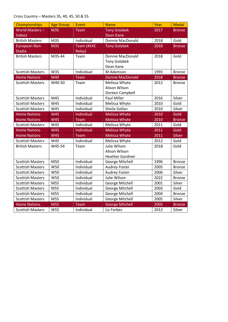## Cross Country – Masters 35, 40, 45, 50 & 55

| Championships           | <b>Age Group</b> | Event          | <b>Name</b>             | Year | <b>Medal</b>  |
|-------------------------|------------------|----------------|-------------------------|------|---------------|
| World Masters-          | M35              | Team           | <b>Tony Golabek</b>     | 2017 | <b>Bronze</b> |
| Indoor                  |                  |                | <b>Dean Kane</b>        |      |               |
| <b>British Masters</b>  | M35              | Individual     | Donnie MacDonald        | 2018 | Gold          |
| <b>European Non-</b>    | M35              | Team (4KXC     | <b>Tony Golabek</b>     | 2018 | <b>Bronze</b> |
| <b>Stadia</b>           |                  | <b>Relay</b> ) |                         |      |               |
| <b>British Masters</b>  | M35-44           | Team           | Donnie MacDonald        | 2018 | Gold          |
|                         |                  |                | <b>Tony Golabek</b>     |      |               |
|                         |                  |                | Dean Kane               |      |               |
| <b>Scottish Masters</b> | W35              | Individual     | M Adamson               | 1993 | <b>Bronze</b> |
| <b>Home Nations</b>     | M40              | Team           | <b>Donnie MacDonald</b> | 2018 | <b>Bronze</b> |
| <b>Scottish Masters</b> | W40-50           | Team           | Melissa Whyte           | 2012 | <b>Bronze</b> |
|                         |                  |                | Alison Wilson           |      |               |
|                         |                  |                | Doreen Campbell         |      |               |
| <b>Scottish Masters</b> | M45              | Individual     | Paul Miller             | 2016 | Silver        |
| <b>Scottish Masters</b> | W45              | Individual     | Melissa Whyte           | 2010 | Gold          |
| <b>Scottish Masters</b> | W45              | Individual     | Sheila Gollan           | 2010 | Silver        |
| <b>Home Nations</b>     | <b>W45</b>       | Individual     | <b>Melissa Whyte</b>    | 2010 | Gold          |
| <b>Home Nations</b>     | <b>W45</b>       | Team           | <b>Melissa Whyte</b>    | 2010 | <b>Bronze</b> |
| <b>Scottish Masters</b> | W45              | Individual     | Melissa Whyte           | 2011 | Gold          |
| <b>Home Nations</b>     | <b>W45</b>       | Individual     | <b>Melissa Whyte</b>    | 2011 | Gold          |
| <b>Home Nations</b>     | <b>W45</b>       | Team           | <b>Melissa Whyte</b>    | 2011 | Silver        |
| <b>Scottish Masters</b> | W45              | Individual     | Melissa Whyte           | 2012 | Gold          |
| <b>British Masters</b>  | W45-54           | Team           | Julie Wilson            | 2018 | Gold          |
|                         |                  |                | Alison Wilson           |      |               |
|                         |                  |                | <b>Heather Gardiner</b> |      |               |
| <b>Scottish Masters</b> | M50              | Individual     | George Mitchell         | 1996 | <b>Bronze</b> |
| <b>Scottish Masters</b> | W50              | Individual     | <b>Audrey Foster</b>    | 2005 | <b>Bronze</b> |
| <b>Scottish Masters</b> | W50              | Individual     | <b>Audrey Foster</b>    | 2006 | Silver        |
| <b>Scottish Masters</b> | W50              | Individual     | Julie Wilson            | 2022 | <b>Bronze</b> |
| <b>Scottish Masters</b> | M55              | Individual     | George Mitchell         | 2001 | Silver        |
| <b>Scottish Masters</b> | M55              | Individual     | George Mitchell         | 2003 | Gold          |
| <b>Scottish Masters</b> | M55              | Individual     | George Mitchell         | 2004 | <b>Bronze</b> |
| <b>Scottish Masters</b> | M55              | Individual     | George Mitchell         | 2005 | Silver        |
| <b>Home Nations</b>     | M55              | Team           | <b>George Mitchell</b>  | 2005 | <b>Bronze</b> |
| <b>Scottish Masters</b> | W55              | Individual     | Liz Forbes              | 2013 | Silver        |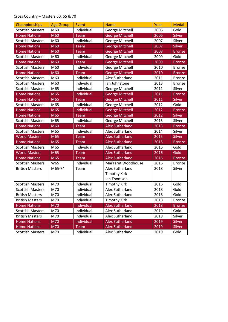## Cross Country – Masters 60, 65 & 70

| Championships           | <b>Age Group</b> | Event      | <b>Name</b>            | Year | <b>Medal</b>  |
|-------------------------|------------------|------------|------------------------|------|---------------|
| <b>Scottish Masters</b> | M60              | Individual | George Mitchell        | 2006 | Gold          |
| <b>Home Nations</b>     | M60              | Team       | <b>George Mitchell</b> | 2006 | Silver        |
| <b>Scottish Masters</b> | M60              | Individual | George Mitchell        | 2007 | Silver        |
| <b>Home Nations</b>     | M60              | Team       | <b>George Mitchell</b> | 2007 | Silver        |
| <b>Home Nations</b>     | M60              | Team       | <b>George Mitchell</b> | 2008 | <b>Bronze</b> |
| <b>Scottish Masters</b> | M60              | Individual | George Mitchell        | 2009 | Gold          |
| <b>Home Nations</b>     | M60              | Team       | <b>George Mitchell</b> | 2009 | <b>Bronze</b> |
| <b>Scottish Masters</b> | M60              | Individual | George Mitchell        | 2010 | <b>Bronze</b> |
| <b>Home Nations</b>     | M60              | Team       | <b>George Mitchell</b> | 2010 | <b>Bronze</b> |
| <b>Scottish Masters</b> | M60              | Individual | Alex Sutherland        | 2011 | <b>Bronze</b> |
| <b>Scottish Masters</b> | M60              | Individual | Ian Johnstone          | 2013 | <b>Bronze</b> |
| <b>Scottish Masters</b> | M65              | Individual | George Mitchell        | 2011 | Silver        |
| <b>Home Nations</b>     | M65              | Individual | <b>George Mitchell</b> | 2011 | <b>Bronze</b> |
| <b>Home Nations</b>     | M65              | Team       | <b>George Mitchell</b> | 2011 | Silver        |
| <b>Scottish Masters</b> | M65              | Individual | George Mitchell        | 2012 | Gold          |
| <b>Home Nations</b>     | M65              | Individual | <b>George Mitchell</b> | 2012 | <b>Bronze</b> |
| <b>Home Nations</b>     | M65              | Team       | <b>George Mitchell</b> | 2012 | Silver        |
| <b>Scottish Masters</b> | M65              | Individual | George Mitchell        | 2013 | Silver        |
| <b>Home Nations</b>     | M60              | Team       | <b>Alex Sutherland</b> | 2013 | <b>Bronze</b> |
| <b>Scottish Masters</b> | M65              | Individual | Alex Sutherland        | 2014 | Silver        |
| <b>World Masters</b>    | M65              | Team       | <b>Alex Sutherland</b> | 2015 | <b>Silver</b> |
| <b>Home Nations</b>     | M65              | Team       | <b>Alex Sutherland</b> | 2015 | <b>Bronze</b> |
| <b>Scottish Masters</b> | M65              | Individual | Alex Sutherland        | 2016 | Gold          |
| <b>World Masters</b>    | M65              | Team       | <b>Alex Sutherland</b> | 2016 | Gold          |
| <b>Home Nations</b>     | M65              | Team       | <b>Alex Sutherland</b> | 2016 | <b>Bronze</b> |
| <b>Scottish Masters</b> | W65              | Individual | Margaret Woodhouse     | 2016 | <b>Bronze</b> |
| <b>British Masters</b>  | M65-74           | Team       | Alex Sutherland        | 2018 | Silver        |
|                         |                  |            | <b>Timothy Kirk</b>    |      |               |
|                         |                  |            | Ian Thomson            |      |               |
| <b>Scottish Masters</b> | M70              | Individual | <b>Timothy Kirk</b>    | 2016 | Gold          |
| <b>Scottish Masters</b> | M70              | Individual | Alex Sutherland        | 2018 | Gold          |
| <b>British Masters</b>  | M70              | Individual | Alex Sutherland        | 2018 | Gold          |
| <b>British Masters</b>  | M70              | Individual | <b>Timothy Kirk</b>    | 2018 | <b>Bronze</b> |
| <b>Home Nations</b>     | <b>M70</b>       | Individual | <b>Alex Sutherland</b> | 2018 | <b>Bronze</b> |
| <b>Scottish Masters</b> | M70              | Individual | Alex Sutherland        | 2019 | Gold          |
| <b>British Masters</b>  | M70              | Individual | Alex Sutherland        | 2019 | Silver        |
| <b>Home Nations</b>     | <b>M70</b>       | Individual | <b>Alex Sutherland</b> | 2019 | Silver        |
| <b>Home Nations</b>     | M70              | Team       | <b>Alex Sutherland</b> | 2019 | Silver        |
| <b>Scottish Masters</b> | M70              | Individual | Alex Sutherland        | 2019 | Gold          |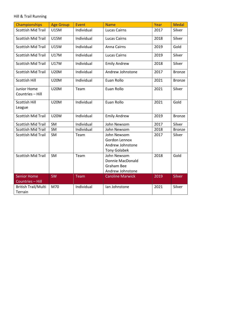#### Hill & Trail Running

| <b>Championships</b>                   | <b>Age Group</b> | Event      | <b>Name</b>                                                              | Year | <b>Medal</b>  |
|----------------------------------------|------------------|------------|--------------------------------------------------------------------------|------|---------------|
| <b>Scottish Mid Trail</b>              | <b>U15M</b>      | Individual | <b>Lucas Cairns</b>                                                      | 2017 | Silver        |
| <b>Scottish Mid Trail</b>              | <b>U15M</b>      | Individual | <b>Lucas Cairns</b>                                                      | 2018 | Silver        |
| <b>Scottish Mid Trail</b>              | <b>U15W</b>      | Individual | Anna Cairns                                                              | 2019 | Gold          |
| <b>Scottish Mid Trail</b>              | <b>U17M</b>      | Individual | <b>Lucas Cairns</b>                                                      | 2019 | Silver        |
| <b>Scottish Mid Trail</b>              | <b>U17W</b>      | Individual | <b>Emily Andrew</b>                                                      | 2018 | Silver        |
| <b>Scottish Mid Trail</b>              | <b>U20M</b>      | Individual | Andrew Johnstone                                                         | 2017 | <b>Bronze</b> |
| Scottish Hill                          | <b>U20M</b>      | Individual | Euan Rollo                                                               | 2021 | <b>Bronze</b> |
| Junior Home<br>Countries - Hill        | <b>U20M</b>      | Team       | Euan Rollo                                                               | 2021 | Silver        |
| Scottish Hill<br>League                | <b>U20M</b>      | Individual | Euan Rollo                                                               | 2021 | Gold          |
| <b>Scottish Mid Trail</b>              | <b>U20W</b>      | Individual | <b>Emily Andrew</b>                                                      | 2019 | <b>Bronze</b> |
| <b>Scottish Mid Trail</b>              | SM               | Individual | John Newsom                                                              | 2017 | Silver        |
| <b>Scottish Mid Trail</b>              | SM               | Individual | John Newsom                                                              | 2018 | <b>Bronze</b> |
| <b>Scottish Mid Trail</b>              | SM               | Team       | John Newsom<br>Gordon Lennox<br>Andrew Johnstone<br><b>Tony Golabek</b>  | 2017 | Silver        |
| <b>Scottish Mid Trail</b>              | SM               | Team       | John Newsom<br>Donnie MacDonald<br><b>Graham Bee</b><br>Andrew Johnstone | 2018 | Gold          |
| <b>Senior Home</b><br>Countries - Hill | <b>SW</b>        | Team       | <b>Caroline Marwick</b>                                                  | 2019 | Silver        |
| <b>British Trail/Multi</b><br>Terrain  | M70              | Individual | Ian Johnstone                                                            | 2021 | Silver        |